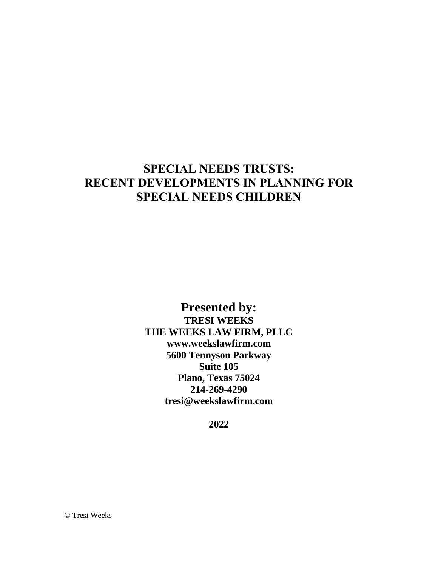# **SPECIAL NEEDS TRUSTS: RECENT DEVELOPMENTS IN PLANNING FOR SPECIAL NEEDS CHILDREN**

**Presented by: TRESI WEEKS THE WEEKS LAW FIRM, PLLC www.weekslawfirm.com 5600 Tennyson Parkway Suite 105 Plano, Texas 75024 214-269-4290 tresi@weekslawfirm.com**

**2022**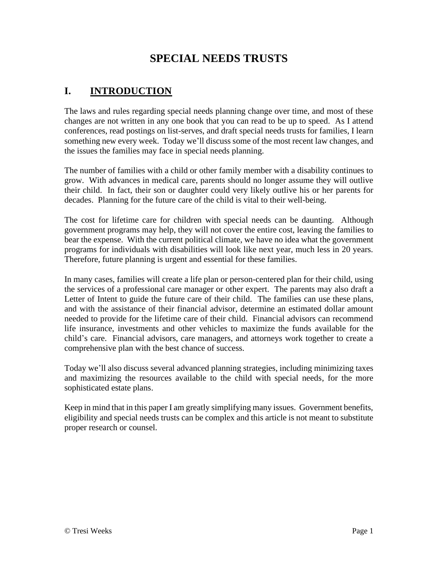# **SPECIAL NEEDS TRUSTS**

# **I. INTRODUCTION**

The laws and rules regarding special needs planning change over time, and most of these changes are not written in any one book that you can read to be up to speed. As I attend conferences, read postings on list-serves, and draft special needs trusts for families, I learn something new every week. Today we'll discuss some of the most recent law changes, and the issues the families may face in special needs planning.

The number of families with a child or other family member with a disability continues to grow. With advances in medical care, parents should no longer assume they will outlive their child. In fact, their son or daughter could very likely outlive his or her parents for decades. Planning for the future care of the child is vital to their well-being.

The cost for lifetime care for children with special needs can be daunting. Although government programs may help, they will not cover the entire cost, leaving the families to bear the expense. With the current political climate, we have no idea what the government programs for individuals with disabilities will look like next year, much less in 20 years. Therefore, future planning is urgent and essential for these families.

In many cases, families will create a life plan or person-centered plan for their child, using the services of a professional care manager or other expert. The parents may also draft a Letter of Intent to guide the future care of their child. The families can use these plans, and with the assistance of their financial advisor, determine an estimated dollar amount needed to provide for the lifetime care of their child. Financial advisors can recommend life insurance, investments and other vehicles to maximize the funds available for the child's care. Financial advisors, care managers, and attorneys work together to create a comprehensive plan with the best chance of success.

Today we'll also discuss several advanced planning strategies, including minimizing taxes and maximizing the resources available to the child with special needs, for the more sophisticated estate plans.

Keep in mind that in this paper I am greatly simplifying many issues. Government benefits, eligibility and special needs trusts can be complex and this article is not meant to substitute proper research or counsel.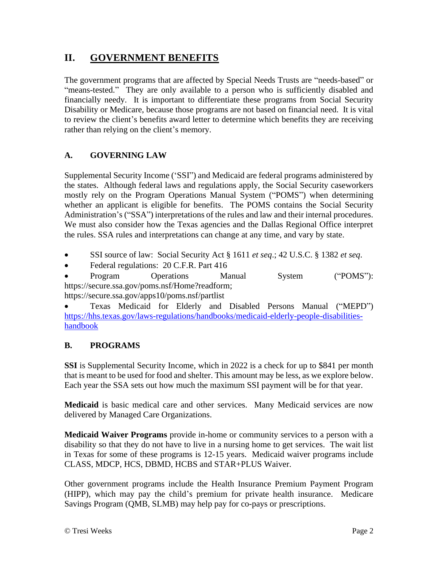# **II. GOVERNMENT BENEFITS**

The government programs that are affected by Special Needs Trusts are "needs-based" or "means-tested." They are only available to a person who is sufficiently disabled and financially needy. It is important to differentiate these programs from Social Security Disability or Medicare, because those programs are not based on financial need. It is vital to review the client's benefits award letter to determine which benefits they are receiving rather than relying on the client's memory.

## **A. GOVERNING LAW**

Supplemental Security Income ('SSI") and Medicaid are federal programs administered by the states. Although federal laws and regulations apply, the Social Security caseworkers mostly rely on the Program Operations Manual System ("POMS") when determining whether an applicant is eligible for benefits. The POMS contains the Social Security Administration's ("SSA") interpretations of the rules and law and their internal procedures. We must also consider how the Texas agencies and the Dallas Regional Office interpret the rules. SSA rules and interpretations can change at any time, and vary by state.

- SSI source of law: Social Security Act § 1611 *et seq*.; 42 U.S.C. § 1382 *et seq*.
- Federal regulations: 20 C.F.R. Part 416

• Program Operations Manual System ("POMS"): [https://secure.ssa.gov/poms.nsf/Home?readform;](https://secure.ssa.gov/poms.nsf/Home?readform)

<https://secure.ssa.gov/apps10/poms.nsf/partlist>

• Texas Medicaid for Elderly and Disabled Persons Manual ("MEPD") [https://hhs.texas.gov/laws-regulations/handbooks/medicaid-elderly-people-disabilities](https://hhs.texas.gov/laws-regulations/handbooks/medicaid-elderly-people-disabilities-handbook)[handbook](https://hhs.texas.gov/laws-regulations/handbooks/medicaid-elderly-people-disabilities-handbook)

## **B. PROGRAMS**

**SSI** is Supplemental Security Income, which in 2022 is a check for up to \$841 per month that is meant to be used for food and shelter. This amount may be less, as we explore below. Each year the SSA sets out how much the maximum SSI payment will be for that year.

**Medicaid** is basic medical care and other services. Many Medicaid services are now delivered by Managed Care Organizations.

**Medicaid Waiver Programs** provide in-home or community services to a person with a disability so that they do not have to live in a nursing home to get services. The wait list in Texas for some of these programs is 12-15 years. Medicaid waiver programs include CLASS, MDCP, HCS, DBMD, HCBS and STAR+PLUS Waiver.

Other government programs include the Health Insurance Premium Payment Program (HIPP), which may pay the child's premium for private health insurance. Medicare Savings Program (QMB, SLMB) may help pay for co-pays or prescriptions.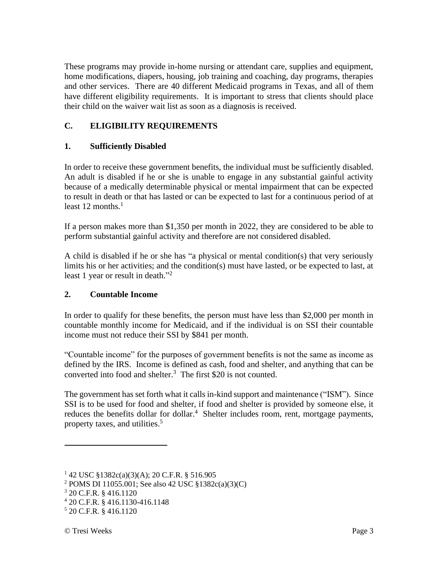These programs may provide in-home nursing or attendant care, supplies and equipment, home modifications, diapers, housing, job training and coaching, day programs, therapies and other services. There are 40 different Medicaid programs in Texas, and all of them have different eligibility requirements. It is important to stress that clients should place their child on the waiver wait list as soon as a diagnosis is received.

## **C. ELIGIBILITY REQUIREMENTS**

### **1. Sufficiently Disabled**

In order to receive these government benefits, the individual must be sufficiently disabled. An adult is disabled if he or she is unable to engage in any substantial gainful activity because of a medically determinable physical or mental impairment that can be expected to result in death or that has lasted or can be expected to last for a continuous period of at least 12 months  $<sup>1</sup>$ </sup>

If a person makes more than \$1,350 per month in 2022, they are considered to be able to perform substantial gainful activity and therefore are not considered disabled.

A child is disabled if he or she has "a physical or mental condition(s) that very seriously limits his or her activities; and the condition(s) must have lasted, or be expected to last, at least 1 year or result in death."<sup>2</sup>

#### **2. Countable Income**

In order to qualify for these benefits, the person must have less than \$2,000 per month in countable monthly income for Medicaid, and if the individual is on SSI their countable income must not reduce their SSI by \$841 per month.

"Countable income" for the purposes of government benefits is not the same as income as defined by the IRS. Income is defined as cash, food and shelter, and anything that can be converted into food and shelter. 3 The first \$20 is not counted.

The government has set forth what it calls in-kind support and maintenance ("ISM"). Since SSI is to be used for food and shelter, if food and shelter is provided by someone else, it reduces the benefits dollar for dollar.<sup>4</sup> Shelter includes room, rent, mortgage payments, property taxes, and utilities.<sup>5</sup>

 $1\,42$  USC  $\S$ 1382c(a)(3)(A); 20 C.F.R.  $\S$  516.905

<sup>2</sup> POMS DI 11055.001; See also 42 USC §1382c(a)(3)(C)

<sup>3</sup> 20 C.F.R. § 416.1120

<sup>4</sup> 20 C.F.R. § 416.1130-416.1148

<sup>5</sup> 20 C.F.R. § 416.1120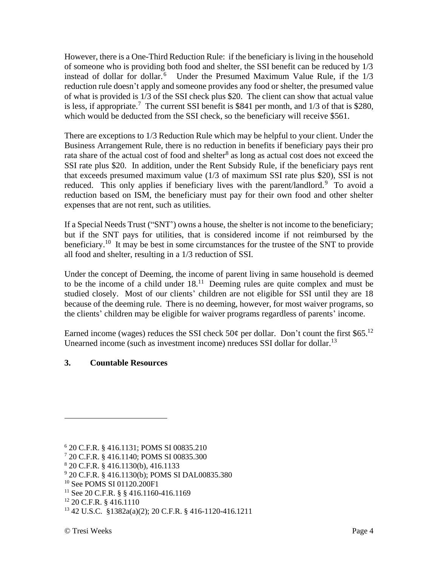However, there is a One-Third Reduction Rule: if the beneficiary is living in the household of someone who is providing both food and shelter, the SSI benefit can be reduced by 1/3 instead of dollar for dollar.<sup>6</sup> Under the Presumed Maximum Value Rule, if the 1/3 reduction rule doesn't apply and someone provides any food or shelter, the presumed value of what is provided is 1/3 of the SSI check plus \$20. The client can show that actual value is less, if appropriate.<sup>7</sup> The current SSI benefit is \$841 per month, and  $1/3$  of that is \$280, which would be deducted from the SSI check, so the beneficiary will receive \$561.

There are exceptions to 1/3 Reduction Rule which may be helpful to your client. Under the Business Arrangement Rule, there is no reduction in benefits if beneficiary pays their pro rata share of the actual cost of food and shelter<sup>8</sup> as long as actual cost does not exceed the SSI rate plus \$20. In addition, under the Rent Subsidy Rule, if the beneficiary pays rent that exceeds presumed maximum value (1/3 of maximum SSI rate plus \$20), SSI is not reduced. This only applies if beneficiary lives with the parent/landlord.<sup>9</sup> To avoid a reduction based on ISM, the beneficiary must pay for their own food and other shelter expenses that are not rent, such as utilities.

If a Special Needs Trust ("SNT') owns a house, the shelter is not income to the beneficiary; but if the SNT pays for utilities, that is considered income if not reimbursed by the beneficiary.<sup>10</sup> It may be best in some circumstances for the trustee of the SNT to provide all food and shelter, resulting in a 1/3 reduction of SSI.

Under the concept of Deeming, the income of parent living in same household is deemed to be the income of a child under  $18<sup>11</sup>$  Deeming rules are quite complex and must be studied closely. Most of our clients' children are not eligible for SSI until they are 18 because of the deeming rule. There is no deeming, however, for most waiver programs, so the clients' children may be eligible for waiver programs regardless of parents' income.

Earned income (wages) reduces the SSI check  $50¢$  per dollar. Don't count the first \$65.<sup>12</sup> Unearned income (such as investment income) nreduces SSI dollar for dollar.<sup>13</sup>

## **3. Countable Resources**

<sup>6</sup> 20 C.F.R. § 416.1131; POMS SI 00835.210

<sup>7</sup> 20 C.F.R. § 416.1140; POMS SI 00835.300

<sup>8</sup> 20 C.F.R. § 416.1130(b), 416.1133

<sup>9</sup> 20 C.F.R. § 416.1130(b); POMS SI DAL00835.380

<sup>10</sup> See POMS SI 01120.200F1

<sup>&</sup>lt;sup>11</sup> See 20 C.F.R. § § 416.1160-416.1169

<sup>12</sup> 20 C.F.R. § 416.1110

<sup>13</sup> 42 U.S.C. §1382a(a)(2); 20 C.F.R. § 416-1120-416.1211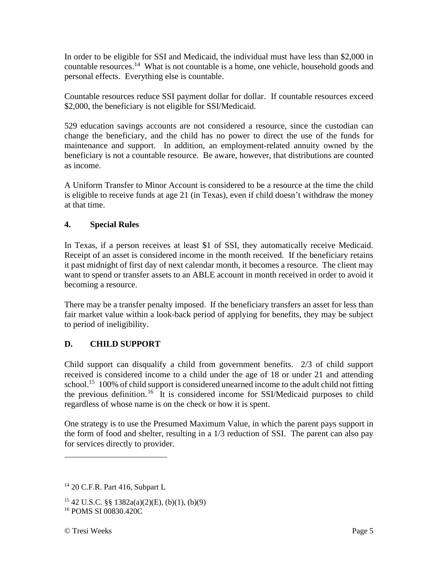In order to be eligible for SSI and Medicaid, the individual must have less than \$2,000 in countable resources.<sup>14</sup> What is not countable is a home, one vehicle, household goods and personal effects. Everything else is countable.

Countable resources reduce SSI payment dollar for dollar. If countable resources exceed \$2,000, the beneficiary is not eligible for SSI/Medicaid.

529 education savings accounts are not considered a resource, since the custodian can change the beneficiary, and the child has no power to direct the use of the funds for maintenance and support. In addition, an employment-related annuity owned by the beneficiary is not a countable resource. Be aware, however, that distributions are counted as income.

A Uniform Transfer to Minor Account is considered to be a resource at the time the child is eligible to receive funds at age 21 (in Texas), even if child doesn't withdraw the money at that time.

### **4. Special Rules**

In Texas, if a person receives at least \$1 of SSI, they automatically receive Medicaid. Receipt of an asset is considered income in the month received. If the beneficiary retains it past midnight of first day of next calendar month, it becomes a resource. The client may want to spend or transfer assets to an ABLE account in month received in order to avoid it becoming a resource.

There may be a transfer penalty imposed. If the beneficiary transfers an asset for less than fair market value within a look-back period of applying for benefits, they may be subject to period of ineligibility.

## **D. CHILD SUPPORT**

Child support can disqualify a child from government benefits. 2/3 of child support received is considered income to a child under the age of 18 or under 21 and attending school.<sup>15</sup> 100% of child support is considered unearned income to the adult child not fitting the previous definition.<sup>16</sup> It is considered income for SSI/Medicaid purposes to child regardless of whose name is on the check or how it is spent.

One strategy is to use the Presumed Maximum Value, in which the parent pays support in the form of food and shelter, resulting in a 1/3 reduction of SSI. The parent can also pay for services directly to provider.

 $14$  20 C.F.R. Part 416, Subpart L

 $15\,42\,$  U.S.C. §§ 1382a(a)(2)(E), (b)(1), (b)(9) <sup>16</sup> POMS SI 00830.420C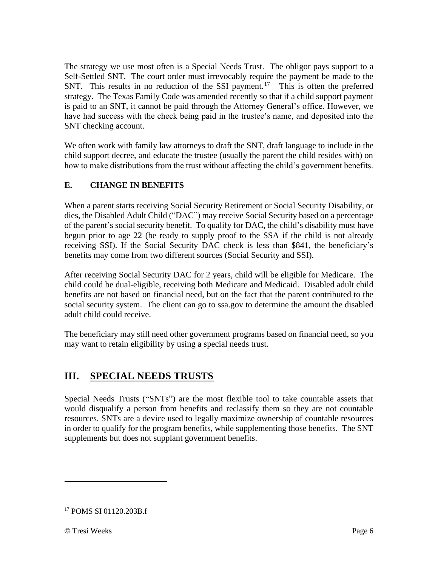The strategy we use most often is a Special Needs Trust. The obligor pays support to a Self-Settled SNT. The court order must irrevocably require the payment be made to the SNT. This results in no reduction of the SSI payment.<sup>17</sup> This is often the preferred strategy. The Texas Family Code was amended recently so that if a child support payment is paid to an SNT, it cannot be paid through the Attorney General's office. However, we have had success with the check being paid in the trustee's name, and deposited into the SNT checking account.

We often work with family law attorneys to draft the SNT, draft language to include in the child support decree, and educate the trustee (usually the parent the child resides with) on how to make distributions from the trust without affecting the child's government benefits.

## **E. CHANGE IN BENEFITS**

When a parent starts receiving Social Security Retirement or Social Security Disability, or dies, the Disabled Adult Child ("DAC") may receive Social Security based on a percentage of the parent's social security benefit. To qualify for DAC, the child's disability must have begun prior to age 22 (be ready to supply proof to the SSA if the child is not already receiving SSI). If the Social Security DAC check is less than \$841, the beneficiary's benefits may come from two different sources (Social Security and SSI).

After receiving Social Security DAC for 2 years, child will be eligible for Medicare. The child could be dual-eligible, receiving both Medicare and Medicaid. Disabled adult child benefits are not based on financial need, but on the fact that the parent contributed to the social security system. The client can go to ssa.gov to determine the amount the disabled adult child could receive.

The beneficiary may still need other government programs based on financial need, so you may want to retain eligibility by using a special needs trust.

# **III. SPECIAL NEEDS TRUSTS**

Special Needs Trusts ("SNTs") are the most flexible tool to take countable assets that would disqualify a person from benefits and reclassify them so they are not countable resources. SNTs are a device used to legally maximize ownership of countable resources in order to qualify for the program benefits, while supplementing those benefits. The SNT supplements but does not supplant government benefits.

<sup>&</sup>lt;sup>17</sup> POMS SI 01120.203B.f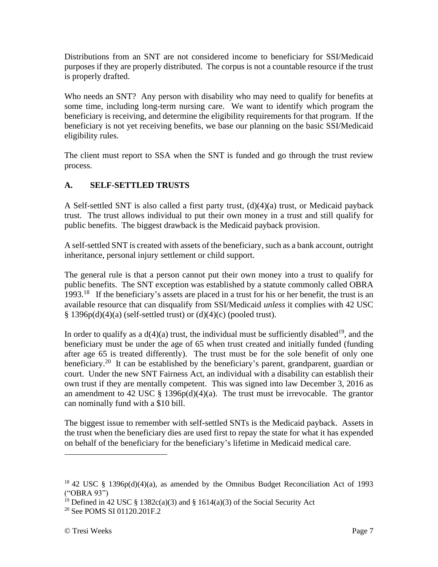Distributions from an SNT are not considered income to beneficiary for SSI/Medicaid purposes if they are properly distributed. The corpus is not a countable resource if the trust is properly drafted.

Who needs an SNT? Any person with disability who may need to qualify for benefits at some time, including long-term nursing care. We want to identify which program the beneficiary is receiving, and determine the eligibility requirements for that program. If the beneficiary is not yet receiving benefits, we base our planning on the basic SSI/Medicaid eligibility rules.

The client must report to SSA when the SNT is funded and go through the trust review process.

## **A. SELF-SETTLED TRUSTS**

A Self-settled SNT is also called a first party trust, (d)(4)(a) trust, or Medicaid payback trust. The trust allows individual to put their own money in a trust and still qualify for public benefits. The biggest drawback is the Medicaid payback provision.

A self-settled SNT is created with assets of the beneficiary, such as a bank account, outright inheritance, personal injury settlement or child support.

The general rule is that a person cannot put their own money into a trust to qualify for public benefits. The SNT exception was established by a statute commonly called OBRA 1993.<sup>18</sup> If the beneficiary's assets are placed in a trust for his or her benefit, the trust is an available resource that can disqualify from SSI/Medicaid *unless* it complies with 42 USC  $§ 1396p(d)(4)(a)$  (self-settled trust) or  $(d)(4)(c)$  (pooled trust).

In order to qualify as a  $d(4)(a)$  trust, the individual must be sufficiently disabled<sup>19</sup>, and the beneficiary must be under the age of 65 when trust created and initially funded (funding after age 65 is treated differently). The trust must be for the sole benefit of only one beneficiary.<sup>20</sup> It can be established by the beneficiary's parent, grandparent, guardian or court. Under the new SNT Fairness Act, an individual with a disability can establish their own trust if they are mentally competent. This was signed into law December 3, 2016 as an amendment to 42 USC  $\S$  1396p(d)(4)(a). The trust must be irrevocable. The grantor can nominally fund with a \$10 bill.

The biggest issue to remember with self-settled SNTs is the Medicaid payback. Assets in the trust when the beneficiary dies are used first to repay the state for what it has expended on behalf of the beneficiary for the beneficiary's lifetime in Medicaid medical care.

 $18$  42 USC § 1396p(d)(4)(a), as amended by the Omnibus Budget Reconciliation Act of 1993 ("OBRA 93")

<sup>&</sup>lt;sup>19</sup> Defined in 42 USC § 1382c(a)(3) and § 1614(a)(3) of the Social Security Act

<sup>&</sup>lt;sup>20</sup> See POMS SI 01120.201F.2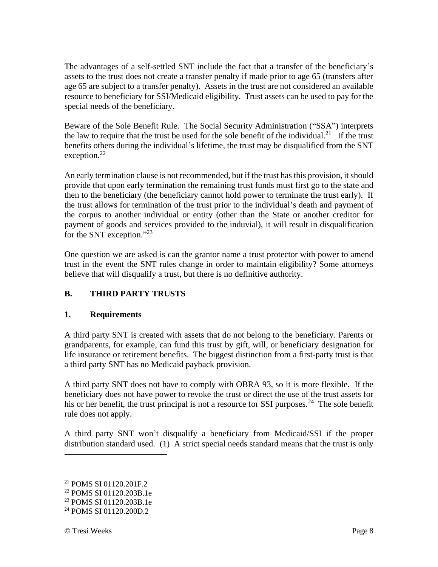The advantages of a self-settled SNT include the fact that a transfer of the beneficiary's assets to the trust does not create a transfer penalty if made prior to age 65 (transfers after age 65 are subject to a transfer penalty). Assets in the trust are not considered an available resource to beneficiary for SSI/Medicaid eligibility. Trust assets can be used to pay for the special needs of the beneficiary.

Beware of the Sole Benefit Rule. The Social Security Administration ("SSA") interprets the law to require that the trust be used for the sole benefit of the individual.<sup>21</sup> If the trust benefits others during the individual's lifetime, the trust may be disqualified from the SNT exception.<sup>22</sup>

An early termination clause is not recommended, but if the trust has this provision, it should provide that upon early termination the remaining trust funds must first go to the state and then to the beneficiary (the beneficiary cannot hold power to terminate the trust early). If the trust allows for termination of the trust prior to the individual's death and payment of the corpus to another individual or entity (other than the State or another creditor for payment of goods and services provided to the induvial), it will result in disqualification for the SNT exception."<sup>23</sup>

One question we are asked is can the grantor name a trust protector with power to amend trust in the event the SNT rules change in order to maintain eligibility? Some attorneys believe that will disqualify a trust, but there is no definitive authority.

## **B. THIRD PARTY TRUSTS**

## **1. Requirements**

A third party SNT is created with assets that do not belong to the beneficiary. Parents or grandparents, for example, can fund this trust by gift, will, or beneficiary designation for life insurance or retirement benefits. The biggest distinction from a first-party trust is that a third party SNT has no Medicaid payback provision.

A third party SNT does not have to comply with OBRA 93, so it is more flexible. If the beneficiary does not have power to revoke the trust or direct the use of the trust assets for his or her benefit, the trust principal is not a resource for SSI purposes.<sup>24</sup> The sole benefit rule does not apply.

A third party SNT won't disqualify a beneficiary from Medicaid/SSI if the proper distribution standard used. (1) A strict special needs standard means that the trust is only

<sup>21</sup> POMS SI 01120.201F.2

<sup>22</sup> POMS SI 01120.203B.1e

<sup>&</sup>lt;sup>23</sup> POMS SI 01120.203B.1e

<sup>24</sup> POMS SI 01120.200D.2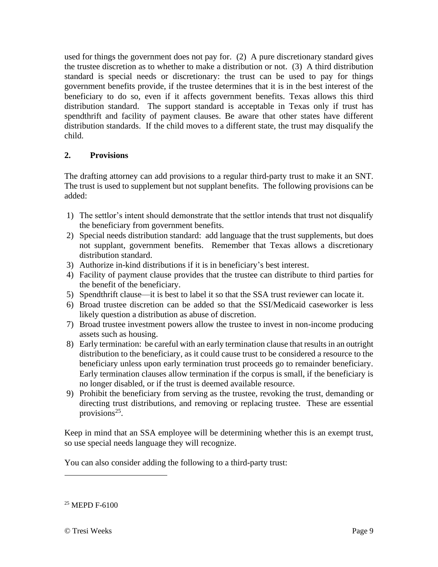used for things the government does not pay for. (2) A pure discretionary standard gives the trustee discretion as to whether to make a distribution or not. (3) A third distribution standard is special needs or discretionary: the trust can be used to pay for things government benefits provide, if the trustee determines that it is in the best interest of the beneficiary to do so, even if it affects government benefits. Texas allows this third distribution standard. The support standard is acceptable in Texas only if trust has spendthrift and facility of payment clauses. Be aware that other states have different distribution standards. If the child moves to a different state, the trust may disqualify the child.

## **2. Provisions**

The drafting attorney can add provisions to a regular third-party trust to make it an SNT. The trust is used to supplement but not supplant benefits. The following provisions can be added:

- 1) The settlor's intent should demonstrate that the settlor intends that trust not disqualify the beneficiary from government benefits.
- 2) Special needs distribution standard: add language that the trust supplements, but does not supplant, government benefits. Remember that Texas allows a discretionary distribution standard.
- 3) Authorize in-kind distributions if it is in beneficiary's best interest.
- 4) Facility of payment clause provides that the trustee can distribute to third parties for the benefit of the beneficiary.
- 5) Spendthrift clause—it is best to label it so that the SSA trust reviewer can locate it.
- 6) Broad trustee discretion can be added so that the SSI/Medicaid caseworker is less likely question a distribution as abuse of discretion.
- 7) Broad trustee investment powers allow the trustee to invest in non-income producing assets such as housing.
- 8) Early termination: be careful with an early termination clause that results in an outright distribution to the beneficiary, as it could cause trust to be considered a resource to the beneficiary unless upon early termination trust proceeds go to remainder beneficiary. Early termination clauses allow termination if the corpus is small, if the beneficiary is no longer disabled, or if the trust is deemed available resource.
- 9) Prohibit the beneficiary from serving as the trustee, revoking the trust, demanding or directing trust distributions, and removing or replacing trustee. These are essential provisions<sup>25</sup>.

Keep in mind that an SSA employee will be determining whether this is an exempt trust, so use special needs language they will recognize.

You can also consider adding the following to a third-party trust:

<sup>25</sup> MEPD F-6100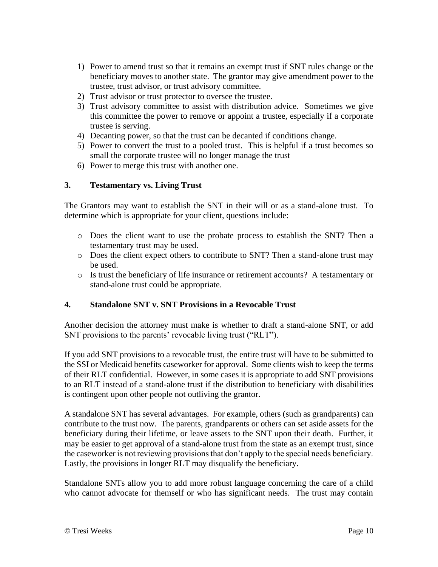- 1) Power to amend trust so that it remains an exempt trust if SNT rules change or the beneficiary moves to another state. The grantor may give amendment power to the trustee, trust advisor, or trust advisory committee.
- 2) Trust advisor or trust protector to oversee the trustee.
- 3) Trust advisory committee to assist with distribution advice. Sometimes we give this committee the power to remove or appoint a trustee, especially if a corporate trustee is serving.
- 4) Decanting power, so that the trust can be decanted if conditions change.
- 5) Power to convert the trust to a pooled trust. This is helpful if a trust becomes so small the corporate trustee will no longer manage the trust
- 6) Power to merge this trust with another one.

#### **3. Testamentary vs. Living Trust**

The Grantors may want to establish the SNT in their will or as a stand-alone trust. To determine which is appropriate for your client, questions include:

- o Does the client want to use the probate process to establish the SNT? Then a testamentary trust may be used.
- o Does the client expect others to contribute to SNT? Then a stand-alone trust may be used.
- o Is trust the beneficiary of life insurance or retirement accounts? A testamentary or stand-alone trust could be appropriate.

#### **4. Standalone SNT v. SNT Provisions in a Revocable Trust**

Another decision the attorney must make is whether to draft a stand-alone SNT, or add SNT provisions to the parents' revocable living trust ("RLT").

If you add SNT provisions to a revocable trust, the entire trust will have to be submitted to the SSI or Medicaid benefits caseworker for approval. Some clients wish to keep the terms of their RLT confidential. However, in some cases it is appropriate to add SNT provisions to an RLT instead of a stand-alone trust if the distribution to beneficiary with disabilities is contingent upon other people not outliving the grantor.

A standalone SNT has several advantages. For example, others (such as grandparents) can contribute to the trust now. The parents, grandparents or others can set aside assets for the beneficiary during their lifetime, or leave assets to the SNT upon their death. Further, it may be easier to get approval of a stand-alone trust from the state as an exempt trust, since the caseworker is not reviewing provisions that don't apply to the special needs beneficiary. Lastly, the provisions in longer RLT may disqualify the beneficiary.

Standalone SNTs allow you to add more robust language concerning the care of a child who cannot advocate for themself or who has significant needs. The trust may contain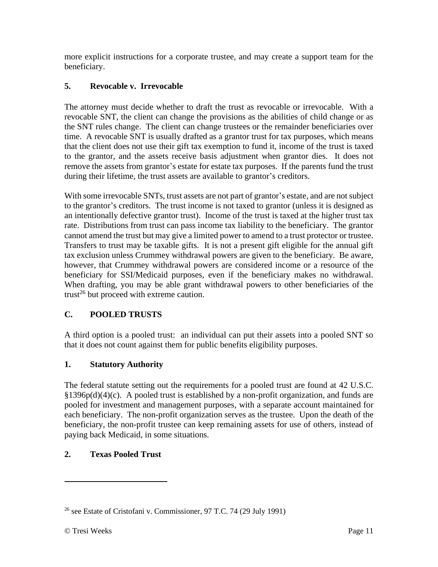more explicit instructions for a corporate trustee, and may create a support team for the beneficiary.

## **5. Revocable v. Irrevocable**

The attorney must decide whether to draft the trust as revocable or irrevocable. With a revocable SNT, the client can change the provisions as the abilities of child change or as the SNT rules change. The client can change trustees or the remainder beneficiaries over time. A revocable SNT is usually drafted as a grantor trust for tax purposes, which means that the client does not use their gift tax exemption to fund it, income of the trust is taxed to the grantor, and the assets receive basis adjustment when grantor dies. It does not remove the assets from grantor's estate for estate tax purposes. If the parents fund the trust during their lifetime, the trust assets are available to grantor's creditors.

With some irrevocable SNTs, trust assets are not part of grantor's estate, and are not subject to the grantor's creditors. The trust income is not taxed to grantor (unless it is designed as an intentionally defective grantor trust). Income of the trust is taxed at the higher trust tax rate. Distributions from trust can pass income tax liability to the beneficiary. The grantor cannot amend the trust but may give a limited power to amend to a trust protector or trustee. Transfers to trust may be taxable gifts. It is not a present gift eligible for the annual gift tax exclusion unless Crummey withdrawal powers are given to the beneficiary. Be aware, however, that Crummey withdrawal powers are considered income or a resource of the beneficiary for SSI/Medicaid purposes, even if the beneficiary makes no withdrawal. When drafting, you may be able grant withdrawal powers to other beneficiaries of the trust<sup>26</sup> but proceed with extreme caution.

## **C. POOLED TRUSTS**

A third option is a pooled trust: an individual can put their assets into a pooled SNT so that it does not count against them for public benefits eligibility purposes.

#### **1. Statutory Authority**

The federal statute setting out the requirements for a pooled trust are found at 42 U.S.C.  $§1396p(d)(4)(c)$ . A pooled trust is established by a non-profit organization, and funds are pooled for investment and management purposes, with a separate account maintained for each beneficiary. The non-profit organization serves as the trustee. Upon the death of the beneficiary, the non-profit trustee can keep remaining assets for use of others, instead of paying back Medicaid, in some situations.

## **2. Texas Pooled Trust**

 $26$  see Estate of Cristofani v. Commissioner, 97 T.C. 74 (29 July 1991)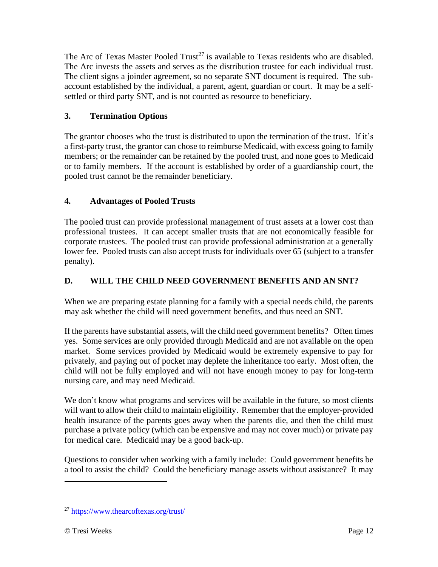The Arc of Texas Master Pooled Trust<sup>27</sup> is available to Texas residents who are disabled. The Arc invests the assets and serves as the distribution trustee for each individual trust. The client signs a joinder agreement, so no separate SNT document is required. The subaccount established by the individual, a parent, agent, guardian or court. It may be a selfsettled or third party SNT, and is not counted as resource to beneficiary.

## **3. Termination Options**

The grantor chooses who the trust is distributed to upon the termination of the trust. If it's a first-party trust, the grantor can chose to reimburse Medicaid, with excess going to family members; or the remainder can be retained by the pooled trust, and none goes to Medicaid or to family members. If the account is established by order of a guardianship court, the pooled trust cannot be the remainder beneficiary.

## **4. Advantages of Pooled Trusts**

The pooled trust can provide professional management of trust assets at a lower cost than professional trustees. It can accept smaller trusts that are not economically feasible for corporate trustees. The pooled trust can provide professional administration at a generally lower fee. Pooled trusts can also accept trusts for individuals over 65 (subject to a transfer penalty).

## **D. WILL THE CHILD NEED GOVERNMENT BENEFITS AND AN SNT?**

When we are preparing estate planning for a family with a special needs child, the parents may ask whether the child will need government benefits, and thus need an SNT.

If the parents have substantial assets, will the child need government benefits? Often times yes. Some services are only provided through Medicaid and are not available on the open market. Some services provided by Medicaid would be extremely expensive to pay for privately, and paying out of pocket may deplete the inheritance too early. Most often, the child will not be fully employed and will not have enough money to pay for long-term nursing care, and may need Medicaid.

We don't know what programs and services will be available in the future, so most clients will want to allow their child to maintain eligibility. Remember that the employer-provided health insurance of the parents goes away when the parents die, and then the child must purchase a private policy (which can be expensive and may not cover much) or private pay for medical care. Medicaid may be a good back-up.

Questions to consider when working with a family include: Could government benefits be a tool to assist the child? Could the beneficiary manage assets without assistance? It may

<sup>27</sup> <https://www.thearcoftexas.org/trust/>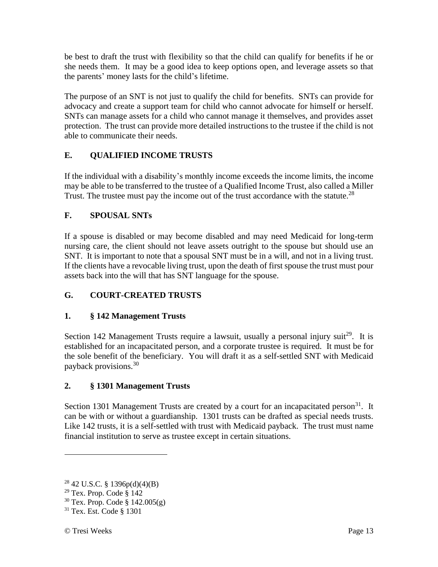be best to draft the trust with flexibility so that the child can qualify for benefits if he or she needs them. It may be a good idea to keep options open, and leverage assets so that the parents' money lasts for the child's lifetime.

The purpose of an SNT is not just to qualify the child for benefits. SNTs can provide for advocacy and create a support team for child who cannot advocate for himself or herself. SNTs can manage assets for a child who cannot manage it themselves, and provides asset protection. The trust can provide more detailed instructions to the trustee if the child is not able to communicate their needs.

## **E. QUALIFIED INCOME TRUSTS**

If the individual with a disability's monthly income exceeds the income limits, the income may be able to be transferred to the trustee of a Qualified Income Trust, also called a Miller Trust. The trustee must pay the income out of the trust accordance with the statute.<sup>28</sup>

## **F. SPOUSAL SNTs**

If a spouse is disabled or may become disabled and may need Medicaid for long-term nursing care, the client should not leave assets outright to the spouse but should use an SNT. It is important to note that a spousal SNT must be in a will, and not in a living trust. If the clients have a revocable living trust, upon the death of first spouse the trust must pour assets back into the will that has SNT language for the spouse.

## **G. COURT-CREATED TRUSTS**

## **1. § 142 Management Trusts**

Section 142 Management Trusts require a lawsuit, usually a personal injury suit<sup>29</sup>. It is established for an incapacitated person, and a corporate trustee is required. It must be for the sole benefit of the beneficiary. You will draft it as a self-settled SNT with Medicaid payback provisions.<sup>30</sup>

## **2. § 1301 Management Trusts**

Section 1301 Management Trusts are created by a court for an incapacitated person<sup>31</sup>. It can be with or without a guardianship. 1301 trusts can be drafted as special needs trusts. Like 142 trusts, it is a self-settled with trust with Medicaid payback. The trust must name financial institution to serve as trustee except in certain situations.

<sup>28</sup> 42 U.S.C. § 1396p(d)(4)(B)

 $29$  Tex. Prop. Code § 142

 $30$  Tex. Prop. Code § 142.005(g)

<sup>31</sup> Tex. Est. Code § 1301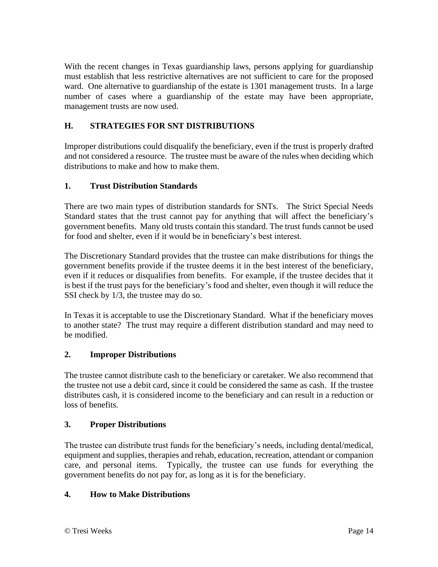With the recent changes in Texas guardianship laws, persons applying for guardianship must establish that less restrictive alternatives are not sufficient to care for the proposed ward. One alternative to guardianship of the estate is 1301 management trusts. In a large number of cases where a guardianship of the estate may have been appropriate, management trusts are now used.

## **H. STRATEGIES FOR SNT DISTRIBUTIONS**

Improper distributions could disqualify the beneficiary, even if the trust is properly drafted and not considered a resource. The trustee must be aware of the rules when deciding which distributions to make and how to make them.

### **1. Trust Distribution Standards**

There are two main types of distribution standards for SNTs. The Strict Special Needs Standard states that the trust cannot pay for anything that will affect the beneficiary's government benefits. Many old trusts contain this standard. The trust funds cannot be used for food and shelter, even if it would be in beneficiary's best interest.

The Discretionary Standard provides that the trustee can make distributions for things the government benefits provide if the trustee deems it in the best interest of the beneficiary, even if it reduces or disqualifies from benefits. For example, if the trustee decides that it is best if the trust pays for the beneficiary's food and shelter, even though it will reduce the SSI check by 1/3, the trustee may do so.

In Texas it is acceptable to use the Discretionary Standard. What if the beneficiary moves to another state? The trust may require a different distribution standard and may need to be modified.

#### **2. Improper Distributions**

The trustee cannot distribute cash to the beneficiary or caretaker. We also recommend that the trustee not use a debit card, since it could be considered the same as cash. If the trustee distributes cash, it is considered income to the beneficiary and can result in a reduction or loss of benefits.

#### **3. Proper Distributions**

The trustee can distribute trust funds for the beneficiary's needs, including dental/medical, equipment and supplies, therapies and rehab, education, recreation, attendant or companion care, and personal items. Typically, the trustee can use funds for everything the government benefits do not pay for, as long as it is for the beneficiary.

#### **4. How to Make Distributions**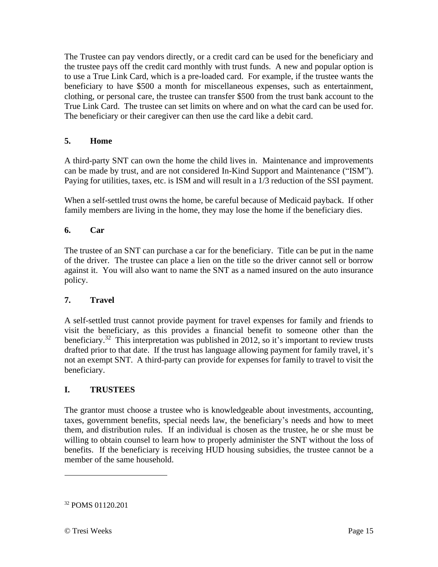The Trustee can pay vendors directly, or a credit card can be used for the beneficiary and the trustee pays off the credit card monthly with trust funds. A new and popular option is to use a True Link Card, which is a pre-loaded card. For example, if the trustee wants the beneficiary to have \$500 a month for miscellaneous expenses, such as entertainment, clothing, or personal care, the trustee can transfer \$500 from the trust bank account to the True Link Card. The trustee can set limits on where and on what the card can be used for. The beneficiary or their caregiver can then use the card like a debit card.

### **5. Home**

A third-party SNT can own the home the child lives in. Maintenance and improvements can be made by trust, and are not considered In-Kind Support and Maintenance ("ISM"). Paying for utilities, taxes, etc. is ISM and will result in a 1/3 reduction of the SSI payment.

When a self-settled trust owns the home, be careful because of Medicaid payback. If other family members are living in the home, they may lose the home if the beneficiary dies.

### **6. Car**

The trustee of an SNT can purchase a car for the beneficiary. Title can be put in the name of the driver. The trustee can place a lien on the title so the driver cannot sell or borrow against it. You will also want to name the SNT as a named insured on the auto insurance policy.

#### **7. Travel**

A self-settled trust cannot provide payment for travel expenses for family and friends to visit the beneficiary, as this provides a financial benefit to someone other than the beneficiary.<sup>32</sup> This interpretation was published in 2012, so it's important to review trusts drafted prior to that date. If the trust has language allowing payment for family travel, it's not an exempt SNT. A third-party can provide for expenses for family to travel to visit the beneficiary.

#### **I. TRUSTEES**

The grantor must choose a trustee who is knowledgeable about investments, accounting, taxes, government benefits, special needs law, the beneficiary's needs and how to meet them, and distribution rules. If an individual is chosen as the trustee, he or she must be willing to obtain counsel to learn how to properly administer the SNT without the loss of benefits. If the beneficiary is receiving HUD housing subsidies, the trustee cannot be a member of the same household.

<sup>32</sup> POMS 01120.201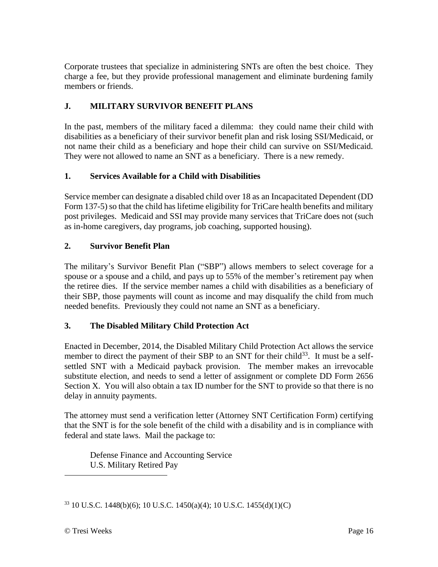Corporate trustees that specialize in administering SNTs are often the best choice. They charge a fee, but they provide professional management and eliminate burdening family members or friends.

## **J. MILITARY SURVIVOR BENEFIT PLANS**

In the past, members of the military faced a dilemma: they could name their child with disabilities as a beneficiary of their survivor benefit plan and risk losing SSI/Medicaid, or not name their child as a beneficiary and hope their child can survive on SSI/Medicaid. They were not allowed to name an SNT as a beneficiary. There is a new remedy.

### **1. Services Available for a Child with Disabilities**

Service member can designate a disabled child over 18 as an Incapacitated Dependent (DD Form 137-5) so that the child has lifetime eligibility for TriCare health benefits and military post privileges. Medicaid and SSI may provide many services that TriCare does not (such as in-home caregivers, day programs, job coaching, supported housing).

### **2. Survivor Benefit Plan**

The military's Survivor Benefit Plan ("SBP") allows members to select coverage for a spouse or a spouse and a child, and pays up to 55% of the member's retirement pay when the retiree dies. If the service member names a child with disabilities as a beneficiary of their SBP, those payments will count as income and may disqualify the child from much needed benefits. Previously they could not name an SNT as a beneficiary.

#### **3. The Disabled Military Child Protection Act**

Enacted in December, 2014, the Disabled Military Child Protection Act allows the service member to direct the payment of their SBP to an SNT for their child<sup>33</sup>. It must be a selfsettled SNT with a Medicaid payback provision. The member makes an irrevocable substitute election, and needs to send a letter of assignment or complete DD Form 2656 Section X. You will also obtain a tax ID number for the SNT to provide so that there is no delay in annuity payments.

The attorney must send a verification letter (Attorney SNT Certification Form) certifying that the SNT is for the sole benefit of the child with a disability and is in compliance with federal and state laws. Mail the package to:

Defense Finance and Accounting Service U.S. Military Retired Pay

<sup>33</sup> 10 U.S.C. 1448(b)(6); 10 U.S.C. 1450(a)(4); 10 U.S.C. 1455(d)(1)(C)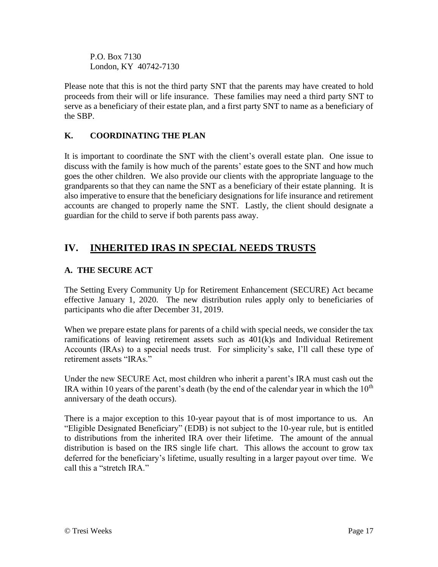P.O. Box 7130 London, KY 40742-7130

Please note that this is not the third party SNT that the parents may have created to hold proceeds from their will or life insurance. These families may need a third party SNT to serve as a beneficiary of their estate plan, and a first party SNT to name as a beneficiary of the SBP.

## **K. COORDINATING THE PLAN**

It is important to coordinate the SNT with the client's overall estate plan. One issue to discuss with the family is how much of the parents' estate goes to the SNT and how much goes the other children. We also provide our clients with the appropriate language to the grandparents so that they can name the SNT as a beneficiary of their estate planning. It is also imperative to ensure that the beneficiary designations for life insurance and retirement accounts are changed to properly name the SNT. Lastly, the client should designate a guardian for the child to serve if both parents pass away.

# **IV. INHERITED IRAS IN SPECIAL NEEDS TRUSTS**

## **A. THE SECURE ACT**

The Setting Every Community Up for Retirement Enhancement (SECURE) Act became effective January 1, 2020. The new distribution rules apply only to beneficiaries of participants who die after December 31, 2019.

When we prepare estate plans for parents of a child with special needs, we consider the tax ramifications of leaving retirement assets such as 401(k)s and Individual Retirement Accounts (IRAs) to a special needs trust. For simplicity's sake, I'll call these type of retirement assets "IRAs."

Under the new SECURE Act, most children who inherit a parent's IRA must cash out the IRA within 10 years of the parent's death (by the end of the calendar year in which the  $10<sup>th</sup>$ anniversary of the death occurs).

There is a major exception to this 10-year payout that is of most importance to us. An "Eligible Designated Beneficiary" (EDB) is not subject to the 10-year rule, but is entitled to distributions from the inherited IRA over their lifetime. The amount of the annual distribution is based on the IRS single life chart. This allows the account to grow tax deferred for the beneficiary's lifetime, usually resulting in a larger payout over time. We call this a "stretch IRA."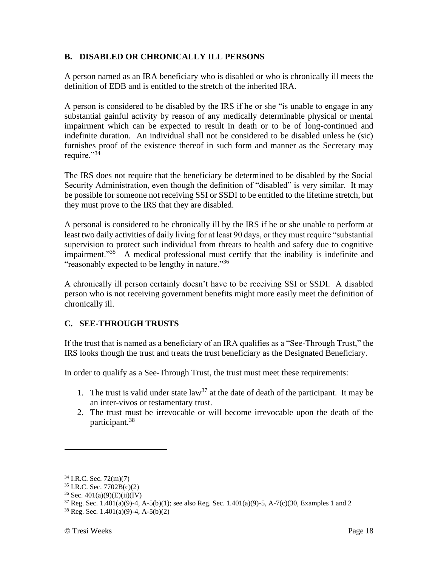#### **B. DISABLED OR CHRONICALLY ILL PERSONS**

A person named as an IRA beneficiary who is disabled or who is chronically ill meets the definition of EDB and is entitled to the stretch of the inherited IRA.

A person is considered to be disabled by the IRS if he or she "is unable to engage in any substantial gainful activity by reason of any medically determinable physical or mental impairment which can be expected to result in death or to be of long-continued and indefinite duration. An individual shall not be considered to be disabled unless he (sic) furnishes proof of the existence thereof in such form and manner as the Secretary may require."34

The IRS does not require that the beneficiary be determined to be disabled by the Social Security Administration, even though the definition of "disabled" is very similar. It may be possible for someone not receiving SSI or SSDI to be entitled to the lifetime stretch, but they must prove to the IRS that they are disabled.

A personal is considered to be chronically ill by the IRS if he or she unable to perform at least two daily activities of daily living for at least 90 days, or they must require "substantial supervision to protect such individual from threats to health and safety due to cognitive impairment."<sup>35</sup> A medical professional must certify that the inability is indefinite and "reasonably expected to be lengthy in nature."<sup>36</sup>

A chronically ill person certainly doesn't have to be receiving SSI or SSDI. A disabled person who is not receiving government benefits might more easily meet the definition of chronically ill.

#### **C. SEE-THROUGH TRUSTS**

If the trust that is named as a beneficiary of an IRA qualifies as a "See-Through Trust," the IRS looks though the trust and treats the trust beneficiary as the Designated Beneficiary.

In order to qualify as a See-Through Trust, the trust must meet these requirements:

- 1. The trust is valid under state  $law<sup>37</sup>$  at the date of death of the participant. It may be an inter-vivos or testamentary trust.
- 2. The trust must be irrevocable or will become irrevocable upon the death of the participant.<sup>38</sup>

<sup>34</sup> I.R.C. Sec. 72(m)(7)

 $35$  I.R.C. Sec.  $7702B(c)(2)$ 

 $36$  Sec.  $401(a)(9)(E)(ii)(IV)$ 

 $37$  Reg. Sec. 1.401(a)(9)-4, A-5(b)(1); see also Reg. Sec. 1.401(a)(9)-5, A-7(c)(30, Examples 1 and 2

 $38$  Reg. Sec. 1.401(a)(9)-4, A-5(b)(2)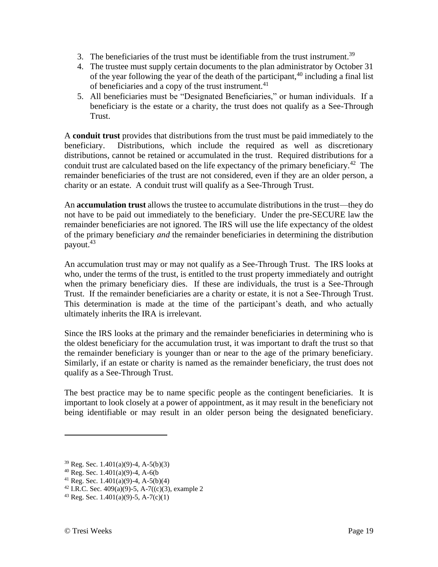- 3. The beneficiaries of the trust must be identifiable from the trust instrument.<sup>39</sup>
- 4. The trustee must supply certain documents to the plan administrator by October 31 of the year following the year of the death of the participant,  $40$  including a final list of beneficiaries and a copy of the trust instrument.<sup>41</sup>
- 5. All beneficiaries must be "Designated Beneficiaries," or human individuals. If a beneficiary is the estate or a charity, the trust does not qualify as a See-Through Trust.

A **conduit trust** provides that distributions from the trust must be paid immediately to the beneficiary. Distributions, which include the required as well as discretionary distributions, cannot be retained or accumulated in the trust. Required distributions for a conduit trust are calculated based on the life expectancy of the primary beneficiary.<sup>42</sup> The remainder beneficiaries of the trust are not considered, even if they are an older person, a charity or an estate. A conduit trust will qualify as a See-Through Trust.

An **accumulation trust** allows the trustee to accumulate distributions in the trust—they do not have to be paid out immediately to the beneficiary. Under the pre-SECURE law the remainder beneficiaries are not ignored. The IRS will use the life expectancy of the oldest of the primary beneficiary *and* the remainder beneficiaries in determining the distribution payout.<sup>43</sup>

An accumulation trust may or may not qualify as a See-Through Trust. The IRS looks at who, under the terms of the trust, is entitled to the trust property immediately and outright when the primary beneficiary dies. If these are individuals, the trust is a See-Through Trust. If the remainder beneficiaries are a charity or estate, it is not a See-Through Trust. This determination is made at the time of the participant's death, and who actually ultimately inherits the IRA is irrelevant.

Since the IRS looks at the primary and the remainder beneficiaries in determining who is the oldest beneficiary for the accumulation trust, it was important to draft the trust so that the remainder beneficiary is younger than or near to the age of the primary beneficiary. Similarly, if an estate or charity is named as the remainder beneficiary, the trust does not qualify as a See-Through Trust.

The best practice may be to name specific people as the contingent beneficiaries. It is important to look closely at a power of appointment, as it may result in the beneficiary not being identifiable or may result in an older person being the designated beneficiary.

<sup>39</sup> Reg. Sec. 1.401(a)(9)-4, A-5(b)(3)

 $40$  Reg. Sec. 1.401(a)(9)-4, A-6(b)

<sup>&</sup>lt;sup>41</sup> Reg. Sec. 1.401(a)(9)-4, A-5(b)(4)

<sup>&</sup>lt;sup>42</sup> I.R.C. Sec. 409(a)(9)-5, A-7((c)(3), example 2

 $43$  Reg. Sec. 1.401(a)(9)-5, A-7(c)(1)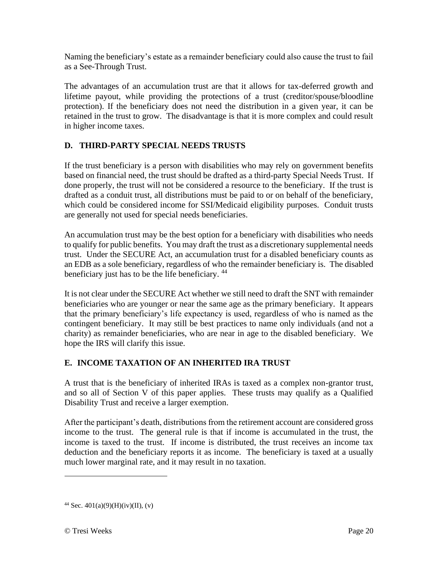Naming the beneficiary's estate as a remainder beneficiary could also cause the trust to fail as a See-Through Trust.

The advantages of an accumulation trust are that it allows for tax-deferred growth and lifetime payout, while providing the protections of a trust (creditor/spouse/bloodline protection). If the beneficiary does not need the distribution in a given year, it can be retained in the trust to grow. The disadvantage is that it is more complex and could result in higher income taxes.

### **D. THIRD-PARTY SPECIAL NEEDS TRUSTS**

If the trust beneficiary is a person with disabilities who may rely on government benefits based on financial need, the trust should be drafted as a third-party Special Needs Trust. If done properly, the trust will not be considered a resource to the beneficiary. If the trust is drafted as a conduit trust, all distributions must be paid to or on behalf of the beneficiary, which could be considered income for SSI/Medicaid eligibility purposes. Conduit trusts are generally not used for special needs beneficiaries.

An accumulation trust may be the best option for a beneficiary with disabilities who needs to qualify for public benefits. You may draft the trust as a discretionary supplemental needs trust. Under the SECURE Act, an accumulation trust for a disabled beneficiary counts as an EDB as a sole beneficiary, regardless of who the remainder beneficiary is. The disabled beneficiary just has to be the life beneficiary. <sup>44</sup>

It is not clear under the SECURE Act whether we still need to draft the SNT with remainder beneficiaries who are younger or near the same age as the primary beneficiary. It appears that the primary beneficiary's life expectancy is used, regardless of who is named as the contingent beneficiary. It may still be best practices to name only individuals (and not a charity) as remainder beneficiaries, who are near in age to the disabled beneficiary. We hope the IRS will clarify this issue.

#### **E. INCOME TAXATION OF AN INHERITED IRA TRUST**

A trust that is the beneficiary of inherited IRAs is taxed as a complex non-grantor trust, and so all of Section V of this paper applies. These trusts may qualify as a Qualified Disability Trust and receive a larger exemption.

After the participant's death, distributions from the retirement account are considered gross income to the trust. The general rule is that if income is accumulated in the trust, the income is taxed to the trust. If income is distributed, the trust receives an income tax deduction and the beneficiary reports it as income. The beneficiary is taxed at a usually much lower marginal rate, and it may result in no taxation.

<sup>&</sup>lt;sup>44</sup> Sec.  $401(a)(9)(H)(iv)(II)$ , (v)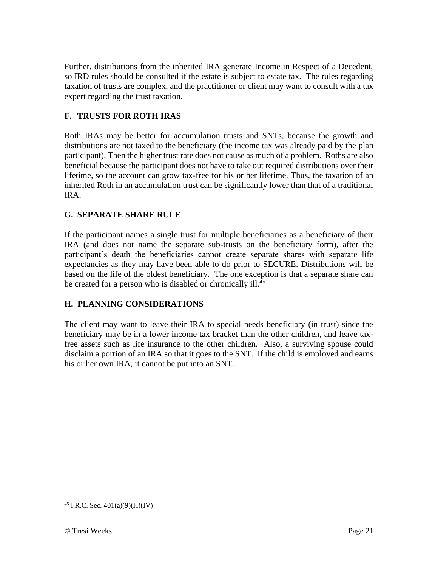Further, distributions from the inherited IRA generate Income in Respect of a Decedent, so IRD rules should be consulted if the estate is subject to estate tax. The rules regarding taxation of trusts are complex, and the practitioner or client may want to consult with a tax expert regarding the trust taxation.

## **F. TRUSTS FOR ROTH IRAS**

Roth IRAs may be better for accumulation trusts and SNTs, because the growth and distributions are not taxed to the beneficiary (the income tax was already paid by the plan participant). Then the higher trust rate does not cause as much of a problem. Roths are also beneficial because the participant does not have to take out required distributions over their lifetime, so the account can grow tax-free for his or her lifetime. Thus, the taxation of an inherited Roth in an accumulation trust can be significantly lower than that of a traditional IRA.

### **G. SEPARATE SHARE RULE**

If the participant names a single trust for multiple beneficiaries as a beneficiary of their IRA (and does not name the separate sub-trusts on the beneficiary form), after the participant's death the beneficiaries cannot create separate shares with separate life expectancies as they may have been able to do prior to SECURE. Distributions will be based on the life of the oldest beneficiary. The one exception is that a separate share can be created for a person who is disabled or chronically ill.<sup>45</sup>

## **H. PLANNING CONSIDERATIONS**

The client may want to leave their IRA to special needs beneficiary (in trust) since the beneficiary may be in a lower income tax bracket than the other children, and leave taxfree assets such as life insurance to the other children. Also, a surviving spouse could disclaim a portion of an IRA so that it goes to the SNT. If the child is employed and earns his or her own IRA, it cannot be put into an SNT.

 $45$  I.R.C. Sec.  $401(a)(9)(H)(IV)$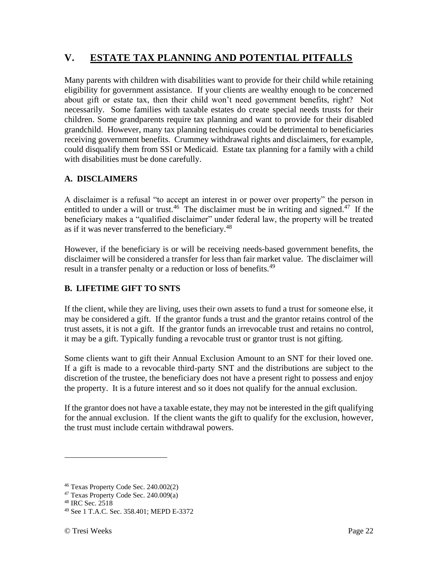# **V. ESTATE TAX PLANNING AND POTENTIAL PITFALLS**

Many parents with children with disabilities want to provide for their child while retaining eligibility for government assistance. If your clients are wealthy enough to be concerned about gift or estate tax, then their child won't need government benefits, right? Not necessarily. Some families with taxable estates do create special needs trusts for their children. Some grandparents require tax planning and want to provide for their disabled grandchild. However, many tax planning techniques could be detrimental to beneficiaries receiving government benefits. Crummey withdrawal rights and disclaimers, for example, could disqualify them from SSI or Medicaid. Estate tax planning for a family with a child with disabilities must be done carefully.

### **A. DISCLAIMERS**

A disclaimer is a refusal "to accept an interest in or power over property" the person in entitled to under a will or trust.<sup>46</sup> The disclaimer must be in writing and signed.<sup>47</sup> If the beneficiary makes a "qualified disclaimer" under federal law, the property will be treated as if it was never transferred to the beneficiary.<sup>48</sup>

However, if the beneficiary is or will be receiving needs-based government benefits, the disclaimer will be considered a transfer for less than fair market value. The disclaimer will result in a transfer penalty or a reduction or loss of benefits.<sup>49</sup>

## **B. LIFETIME GIFT TO SNTS**

If the client, while they are living, uses their own assets to fund a trust for someone else, it may be considered a gift. If the grantor funds a trust and the grantor retains control of the trust assets, it is not a gift. If the grantor funds an irrevocable trust and retains no control, it may be a gift. Typically funding a revocable trust or grantor trust is not gifting.

Some clients want to gift their Annual Exclusion Amount to an SNT for their loved one. If a gift is made to a revocable third-party SNT and the distributions are subject to the discretion of the trustee, the beneficiary does not have a present right to possess and enjoy the property. It is a future interest and so it does not qualify for the annual exclusion.

If the grantor does not have a taxable estate, they may not be interested in the gift qualifying for the annual exclusion. If the client wants the gift to qualify for the exclusion, however, the trust must include certain withdrawal powers.

<sup>46</sup> Texas Property Code Sec. 240.002(2)

<sup>47</sup> Texas Property Code Sec. 240.009(a)

<sup>48</sup> IRC Sec. 2518

<sup>49</sup> See 1 T.A.C. Sec. 358.401; MEPD E-3372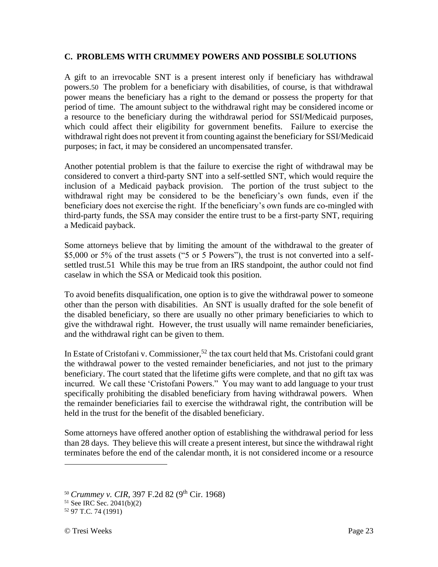#### **C. PROBLEMS WITH CRUMMEY POWERS AND POSSIBLE SOLUTIONS**

A gift to an irrevocable SNT is a present interest only if beneficiary has withdrawal powers.50 The problem for a beneficiary with disabilities, of course, is that withdrawal power means the beneficiary has a right to the demand or possess the property for that period of time. The amount subject to the withdrawal right may be considered income or a resource to the beneficiary during the withdrawal period for SSI/Medicaid purposes, which could affect their eligibility for government benefits. Failure to exercise the withdrawal right does not prevent it from counting against the beneficiary for SSI/Medicaid purposes; in fact, it may be considered an uncompensated transfer.

Another potential problem is that the failure to exercise the right of withdrawal may be considered to convert a third-party SNT into a self-settled SNT, which would require the inclusion of a Medicaid payback provision. The portion of the trust subject to the withdrawal right may be considered to be the beneficiary's own funds, even if the beneficiary does not exercise the right. If the beneficiary's own funds are co-mingled with third-party funds, the SSA may consider the entire trust to be a first-party SNT, requiring a Medicaid payback.

Some attorneys believe that by limiting the amount of the withdrawal to the greater of \$5,000 or 5% of the trust assets ("5 or 5 Powers"), the trust is not converted into a selfsettled trust.51 While this may be true from an IRS standpoint, the author could not find caselaw in which the SSA or Medicaid took this position.

To avoid benefits disqualification, one option is to give the withdrawal power to someone other than the person with disabilities. An SNT is usually drafted for the sole benefit of the disabled beneficiary, so there are usually no other primary beneficiaries to which to give the withdrawal right. However, the trust usually will name remainder beneficiaries, and the withdrawal right can be given to them.

In Estate of Cristofani v. Commissioner,<sup>52</sup> the tax court held that Ms. Cristofani could grant the withdrawal power to the vested remainder beneficiaries, and not just to the primary beneficiary. The court stated that the lifetime gifts were complete, and that no gift tax was incurred. We call these 'Cristofani Powers." You may want to add language to your trust specifically prohibiting the disabled beneficiary from having withdrawal powers. When the remainder beneficiaries fail to exercise the withdrawal right, the contribution will be held in the trust for the benefit of the disabled beneficiary.

Some attorneys have offered another option of establishing the withdrawal period for less than 28 days. They believe this will create a present interest, but since the withdrawal right terminates before the end of the calendar month, it is not considered income or a resource

<sup>&</sup>lt;sup>50</sup> *Crummey v. CIR*, 397 F.2d 82 (9<sup>th</sup> Cir. 1968)

<sup>51</sup> See IRC Sec. 2041(b)(2)

<sup>52</sup> 97 T.C. 74 (1991)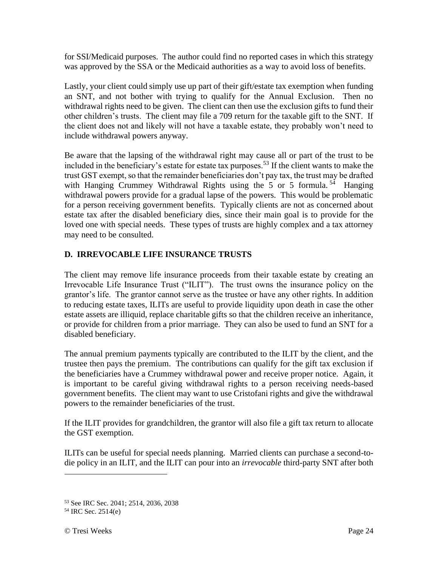for SSI/Medicaid purposes. The author could find no reported cases in which this strategy was approved by the SSA or the Medicaid authorities as a way to avoid loss of benefits.

Lastly, your client could simply use up part of their gift/estate tax exemption when funding an SNT, and not bother with trying to qualify for the Annual Exclusion. Then no withdrawal rights need to be given. The client can then use the exclusion gifts to fund their other children's trusts. The client may file a 709 return for the taxable gift to the SNT. If the client does not and likely will not have a taxable estate, they probably won't need to include withdrawal powers anyway.

Be aware that the lapsing of the withdrawal right may cause all or part of the trust to be included in the beneficiary's estate for estate tax purposes.<sup>53</sup> If the client wants to make the trust GST exempt, so that the remainder beneficiaries don't pay tax, the trust may be drafted with Hanging Crummey Withdrawal Rights using the 5 or 5 formula.<sup>54</sup> Hanging withdrawal powers provide for a gradual lapse of the powers. This would be problematic for a person receiving government benefits. Typically clients are not as concerned about estate tax after the disabled beneficiary dies, since their main goal is to provide for the loved one with special needs. These types of trusts are highly complex and a tax attorney may need to be consulted.

## **D. IRREVOCABLE LIFE INSURANCE TRUSTS**

The client may remove life insurance proceeds from their taxable estate by creating an Irrevocable Life Insurance Trust ("ILIT"). The trust owns the insurance policy on the grantor's life. The grantor cannot serve as the trustee or have any other rights. In addition to reducing estate taxes, ILITs are useful to provide liquidity upon death in case the other estate assets are illiquid, replace charitable gifts so that the children receive an inheritance, or provide for children from a prior marriage. They can also be used to fund an SNT for a disabled beneficiary.

The annual premium payments typically are contributed to the ILIT by the client, and the trustee then pays the premium. The contributions can qualify for the gift tax exclusion if the beneficiaries have a Crummey withdrawal power and receive proper notice. Again, it is important to be careful giving withdrawal rights to a person receiving needs-based government benefits. The client may want to use Cristofani rights and give the withdrawal powers to the remainder beneficiaries of the trust.

If the ILIT provides for grandchildren, the grantor will also file a gift tax return to allocate the GST exemption.

ILITs can be useful for special needs planning. Married clients can purchase a second-todie policy in an ILIT, and the ILIT can pour into an *irrevocable* third-party SNT after both

<sup>53</sup> See IRC Sec. 2041; 2514, 2036, 2038

<sup>54</sup> IRC Sec. 2514(e)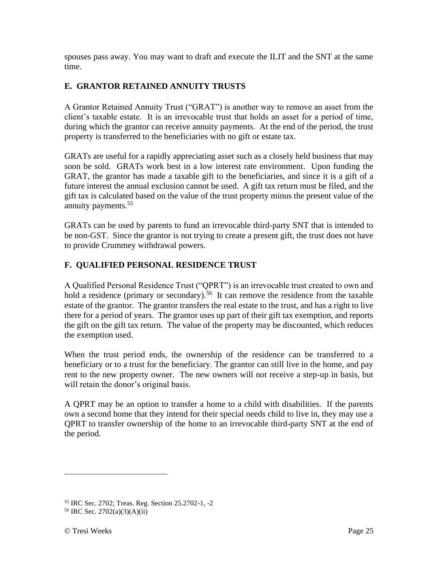spouses pass away. You may want to draft and execute the ILIT and the SNT at the same time.

## **E. GRANTOR RETAINED ANNUITY TRUSTS**

A Grantor Retained Annuity Trust ("GRAT") is another way to remove an asset from the client's taxable estate. It is an irrevocable trust that holds an asset for a period of time, during which the grantor can receive annuity payments. At the end of the period, the trust property is transferred to the beneficiaries with no gift or estate tax.

GRATs are useful for a rapidly appreciating asset such as a closely held business that may soon be sold. GRATs work best in a low interest rate environment. Upon funding the GRAT, the grantor has made a taxable gift to the beneficiaries, and since it is a gift of a future interest the annual exclusion cannot be used. A gift tax return must be filed, and the gift tax is calculated based on the value of the trust property minus the present value of the annuity payments.<sup>55</sup>

GRATs can be used by parents to fund an irrevocable third-party SNT that is intended to be non-GST. Since the grantor is not trying to create a present gift, the trust does not have to provide Crummey withdrawal powers.

## **F. QUALIFIED PERSONAL RESIDENCE TRUST**

A Qualified Personal Residence Trust ("QPRT") is an irrevocable trust created to own and hold a residence (primary or secondary).<sup>56</sup> It can remove the residence from the taxable estate of the grantor. The grantor transfers the real estate to the trust, and has a right to live there for a period of years. The grantor uses up part of their gift tax exemption, and reports the gift on the gift tax return. The value of the property may be discounted, which reduces the exemption used.

When the trust period ends, the ownership of the residence can be transferred to a beneficiary or to a trust for the beneficiary. The grantor can still live in the home, and pay rent to the new property owner. The new owners will not receive a step-up in basis, but will retain the donor's original basis.

A QPRT may be an option to transfer a home to a child with disabilities. If the parents own a second home that they intend for their special needs child to live in, they may use a QPRT to transfer ownership of the home to an irrevocable third-party SNT at the end of the period.

<sup>55</sup> IRC Sec. 2702; Treas. Reg. Section 25.2702-1, -2

<sup>56</sup> IRC Sec. 2702(a)(3)(A)(ii)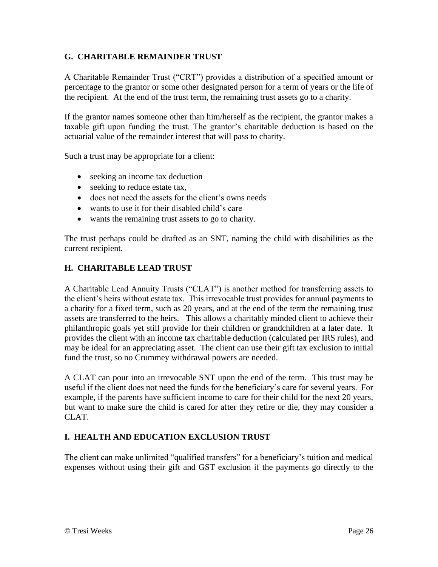#### **G. CHARITABLE REMAINDER TRUST**

A Charitable Remainder Trust ("CRT") provides a distribution of a specified amount or percentage to the grantor or some other designated person for a term of years or the life of the recipient. At the end of the trust term, the remaining trust assets go to a charity.

If the grantor names someone other than him/herself as the recipient, the grantor makes a taxable gift upon funding the trust. The grantor's charitable deduction is based on the actuarial value of the remainder interest that will pass to charity.

Such a trust may be appropriate for a client:

- seeking an income tax deduction
- seeking to reduce estate tax,
- does not need the assets for the client's owns needs
- wants to use it for their disabled child's care
- wants the remaining trust assets to go to charity.

The trust perhaps could be drafted as an SNT, naming the child with disabilities as the current recipient.

#### **H. CHARITABLE LEAD TRUST**

A Charitable Lead Annuity Trusts ("CLAT") is another method for transferring assets to the client's heirs without estate tax. This irrevocable trust provides for annual payments to a charity for a fixed term, such as 20 years, and at the end of the term the remaining trust assets are transferred to the heirs. This allows a charitably minded client to achieve their philanthropic goals yet still provide for their children or grandchildren at a later date. It provides the client with an income tax charitable deduction (calculated per IRS rules), and may be ideal for an appreciating asset. The client can use their gift tax exclusion to initial fund the trust, so no Crummey withdrawal powers are needed.

A CLAT can pour into an irrevocable SNT upon the end of the term. This trust may be useful if the client does not need the funds for the beneficiary's care for several years. For example, if the parents have sufficient income to care for their child for the next 20 years, but want to make sure the child is cared for after they retire or die, they may consider a CLAT.

#### **I. HEALTH AND EDUCATION EXCLUSION TRUST**

The client can make unlimited "qualified transfers" for a beneficiary's tuition and medical expenses without using their gift and GST exclusion if the payments go directly to the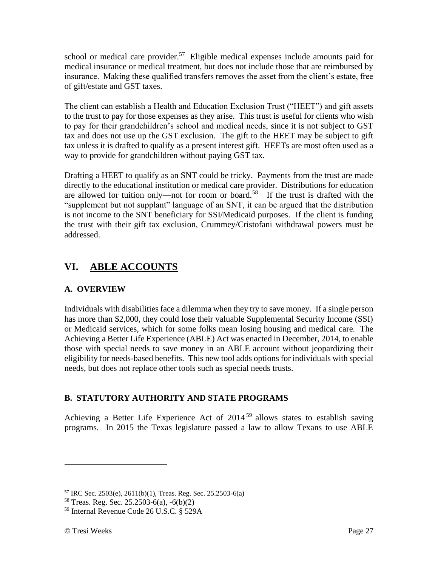school or medical care provider.<sup>57</sup> Eligible medical expenses include amounts paid for medical insurance or medical treatment, but does not include those that are reimbursed by insurance. Making these qualified transfers removes the asset from the client's estate, free of gift/estate and GST taxes.

The client can establish a Health and Education Exclusion Trust ("HEET") and gift assets to the trust to pay for those expenses as they arise. This trust is useful for clients who wish to pay for their grandchildren's school and medical needs, since it is not subject to GST tax and does not use up the GST exclusion. The gift to the HEET may be subject to gift tax unless it is drafted to qualify as a present interest gift. HEETs are most often used as a way to provide for grandchildren without paying GST tax.

Drafting a HEET to qualify as an SNT could be tricky. Payments from the trust are made directly to the educational institution or medical care provider. Distributions for education are allowed for tuition only—not for room or board.<sup>58</sup> If the trust is drafted with the "supplement but not supplant" language of an SNT, it can be argued that the distribution is not income to the SNT beneficiary for SSI/Medicaid purposes. If the client is funding the trust with their gift tax exclusion, Crummey/Cristofani withdrawal powers must be addressed.

# **VI. ABLE ACCOUNTS**

## **A. OVERVIEW**

Individuals with disabilities face a dilemma when they try to save money. If a single person has more than \$2,000, they could lose their valuable Supplemental Security Income (SSI) or Medicaid services, which for some folks mean losing housing and medical care. The Achieving a Better Life Experience (ABLE) Act was enacted in December, 2014, to enable those with special needs to save money in an ABLE account without jeopardizing their eligibility for needs-based benefits. This new tool adds options for individuals with special needs, but does not replace other tools such as special needs trusts.

## **B. STATUTORY AUTHORITY AND STATE PROGRAMS**

Achieving a Better Life Experience Act of 2014 <sup>59</sup> allows states to establish saving programs. In 2015 the Texas legislature passed a law to allow Texans to use ABLE

<sup>57</sup> IRC Sec. 2503(e), 2611(b)(1), Treas. Reg. Sec. 25.2503-6(a)

 $58$  Treas. Reg. Sec. 25.2503-6(a), -6(b)(2)

<sup>59</sup> Internal Revenue Code 26 U.S.C. § 529A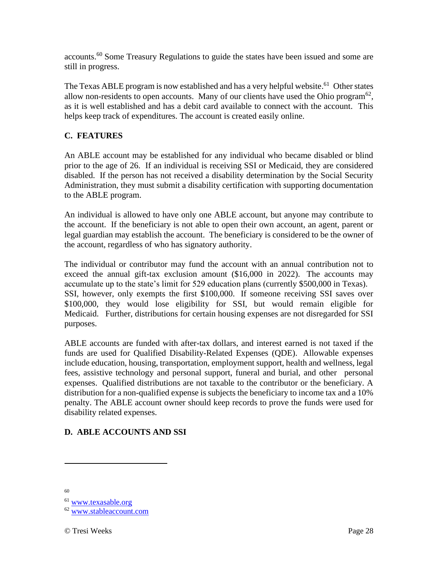accounts.<sup>60</sup> Some Treasury Regulations to guide the states have been issued and some are still in progress.

The Texas ABLE program is now established and has a very helpful website.<sup>61</sup> Other states allow non-residents to open accounts. Many of our clients have used the Ohio program $62$ , as it is well established and has a debit card available to connect with the account. This helps keep track of expenditures. The account is created easily online.

#### **C. FEATURES**

An ABLE account may be established for any individual who became disabled or blind prior to the age of 26. If an individual is receiving SSI or Medicaid, they are considered disabled. If the person has not received a disability determination by the Social Security Administration, they must submit a disability certification with supporting documentation to the ABLE program.

An individual is allowed to have only one ABLE account, but anyone may contribute to the account. If the beneficiary is not able to open their own account, an agent, parent or legal guardian may establish the account. The beneficiary is considered to be the owner of the account, regardless of who has signatory authority.

The individual or contributor may fund the account with an annual contribution not to exceed the annual gift-tax exclusion amount (\$16,000 in 2022). The accounts may accumulate up to the state's limit for 529 education plans (currently \$500,000 in Texas). SSI, however, only exempts the first \$100,000. If someone receiving SSI saves over \$100,000, they would lose eligibility for SSI, but would remain eligible for Medicaid. Further, distributions for certain housing expenses are not disregarded for SSI purposes.

ABLE accounts are funded with after-tax dollars, and interest earned is not taxed if the funds are used for Qualified Disability-Related Expenses (QDE). Allowable expenses include education, housing, transportation, employment support, health and wellness, legal fees, assistive technology and personal support, funeral and burial, and other personal expenses. Qualified distributions are not taxable to the contributor or the beneficiary. A distribution for a non-qualified expense is subjects the beneficiary to income tax and a 10% penalty. The ABLE account owner should keep records to prove the funds were used for disability related expenses.

## **D. ABLE ACCOUNTS AND SSI**

60

<sup>61</sup> [www.texasable.org](http://www.texasable.org/)

<sup>&</sup>lt;sup>62</sup> [www.stableaccount.com](http://www.stableaccount.com/)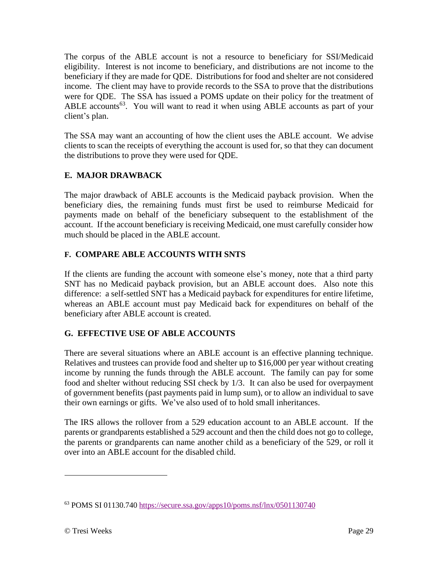The corpus of the ABLE account is not a resource to beneficiary for SSI/Medicaid eligibility. Interest is not income to beneficiary, and distributions are not income to the beneficiary if they are made for QDE. Distributions for food and shelter are not considered income. The client may have to provide records to the SSA to prove that the distributions were for QDE. The SSA has issued a POMS update on their policy for the treatment of ABLE accounts<sup>63</sup>. You will want to read it when using ABLE accounts as part of your client's plan.

The SSA may want an accounting of how the client uses the ABLE account. We advise clients to scan the receipts of everything the account is used for, so that they can document the distributions to prove they were used for QDE.

## **E. MAJOR DRAWBACK**

The major drawback of ABLE accounts is the Medicaid payback provision. When the beneficiary dies, the remaining funds must first be used to reimburse Medicaid for payments made on behalf of the beneficiary subsequent to the establishment of the account. If the account beneficiary is receiving Medicaid, one must carefully consider how much should be placed in the ABLE account.

## **F. COMPARE ABLE ACCOUNTS WITH SNTS**

If the clients are funding the account with someone else's money, note that a third party SNT has no Medicaid payback provision, but an ABLE account does. Also note this difference: a self-settled SNT has a Medicaid payback for expenditures for entire lifetime, whereas an ABLE account must pay Medicaid back for expenditures on behalf of the beneficiary after ABLE account is created.

## **G. EFFECTIVE USE OF ABLE ACCOUNTS**

There are several situations where an ABLE account is an effective planning technique. Relatives and trustees can provide food and shelter up to \$16,000 per year without creating income by running the funds through the ABLE account. The family can pay for some food and shelter without reducing SSI check by 1/3. It can also be used for overpayment of government benefits (past payments paid in lump sum), or to allow an individual to save their own earnings or gifts. We've also used of to hold small inheritances.

The IRS allows the rollover from a 529 education account to an ABLE account. If the parents or grandparents established a 529 account and then the child does not go to college, the parents or grandparents can name another child as a beneficiary of the 529, or roll it over into an ABLE account for the disabled child.

<sup>63</sup> POMS SI 01130.740<https://secure.ssa.gov/apps10/poms.nsf/lnx/0501130740>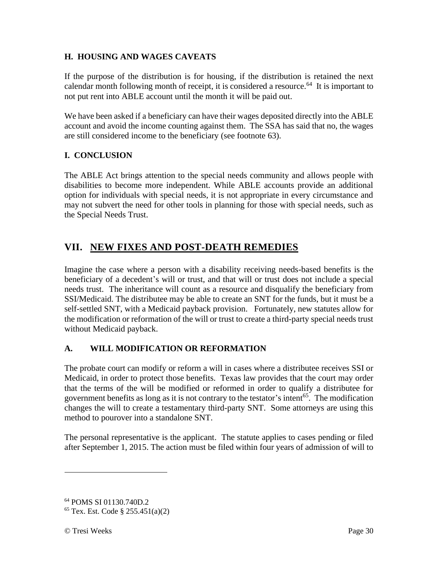### **H. HOUSING AND WAGES CAVEATS**

If the purpose of the distribution is for housing, if the distribution is retained the next calendar month following month of receipt, it is considered a resource.<sup>64</sup> It is important to not put rent into ABLE account until the month it will be paid out.

We have been asked if a beneficiary can have their wages deposited directly into the ABLE account and avoid the income counting against them. The SSA has said that no, the wages are still considered income to the beneficiary (see footnote 63).

### **I. CONCLUSION**

The ABLE Act brings attention to the special needs community and allows people with disabilities to become more independent. While ABLE accounts provide an additional option for individuals with special needs, it is not appropriate in every circumstance and may not subvert the need for other tools in planning for those with special needs, such as the Special Needs Trust.

# **VII. NEW FIXES AND POST-DEATH REMEDIES**

Imagine the case where a person with a disability receiving needs-based benefits is the beneficiary of a decedent's will or trust, and that will or trust does not include a special needs trust. The inheritance will count as a resource and disqualify the beneficiary from SSI/Medicaid. The distributee may be able to create an SNT for the funds, but it must be a self-settled SNT, with a Medicaid payback provision. Fortunately, new statutes allow for the modification or reformation of the will or trust to create a third-party special needs trust without Medicaid payback.

#### **A. WILL MODIFICATION OR REFORMATION**

The probate court can modify or reform a will in cases where a distributee receives SSI or Medicaid, in order to protect those benefits. Texas law provides that the court may order that the terms of the will be modified or reformed in order to qualify a distributee for government benefits as long as it is not contrary to the testator's intent<sup>65</sup>. The modification changes the will to create a testamentary third-party SNT. Some attorneys are using this method to pourover into a standalone SNT.

The personal representative is the applicant. The statute applies to cases pending or filed after September 1, 2015. The action must be filed within four years of admission of will to

<sup>64</sup> POMS SI 01130.740D.2

<sup>65</sup> Tex. Est. Code § 255.451(a)(2)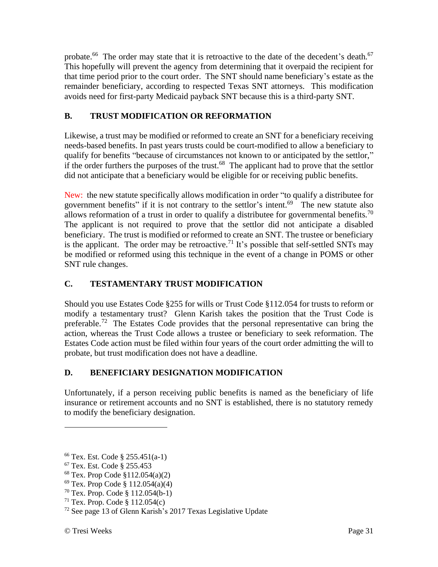probate.<sup>66</sup> The order may state that it is retroactive to the date of the decedent's death.<sup>67</sup> This hopefully will prevent the agency from determining that it overpaid the recipient for that time period prior to the court order. The SNT should name beneficiary's estate as the remainder beneficiary, according to respected Texas SNT attorneys. This modification avoids need for first-party Medicaid payback SNT because this is a third-party SNT.

## **B. TRUST MODIFICATION OR REFORMATION**

Likewise, a trust may be modified or reformed to create an SNT for a beneficiary receiving needs-based benefits. In past years trusts could be court-modified to allow a beneficiary to qualify for benefits "because of circumstances not known to or anticipated by the settlor," if the order furthers the purposes of the trust.<sup>68</sup> The applicant had to prove that the settlor did not anticipate that a beneficiary would be eligible for or receiving public benefits.

New: the new statute specifically allows modification in order "to qualify a distributee for government benefits" if it is not contrary to the settlor's intent.<sup>69</sup> The new statute also allows reformation of a trust in order to qualify a distributee for governmental benefits.<sup>70</sup> The applicant is not required to prove that the settlor did not anticipate a disabled beneficiary. The trust is modified or reformed to create an SNT. The trustee or beneficiary is the applicant. The order may be retroactive.<sup>71</sup> It's possible that self-settled SNTs may be modified or reformed using this technique in the event of a change in POMS or other SNT rule changes.

## **C. TESTAMENTARY TRUST MODIFICATION**

Should you use Estates Code §255 for wills or Trust Code §112.054 for trusts to reform or modify a testamentary trust? Glenn Karish takes the position that the Trust Code is preferable.<sup>72</sup> The Estates Code provides that the personal representative can bring the action, whereas the Trust Code allows a trustee or beneficiary to seek reformation. The Estates Code action must be filed within four years of the court order admitting the will to probate, but trust modification does not have a deadline.

## **D. BENEFICIARY DESIGNATION MODIFICATION**

Unfortunately, if a person receiving public benefits is named as the beneficiary of life insurance or retirement accounts and no SNT is established, there is no statutory remedy to modify the beneficiary designation.

<sup>66</sup> Tex. Est. Code § 255.451(a-1)

<sup>67</sup> Tex. Est. Code § 255.453

<sup>68</sup> Tex. Prop Code §112.054(a)(2)

<sup>69</sup> Tex. Prop Code § 112.054(a)(4)

<sup>70</sup> Tex. Prop. Code § 112.054(b-1)

 $71$  Tex. Prop. Code § 112.054(c)

 $72$  See page 13 of Glenn Karish's 2017 Texas Legislative Update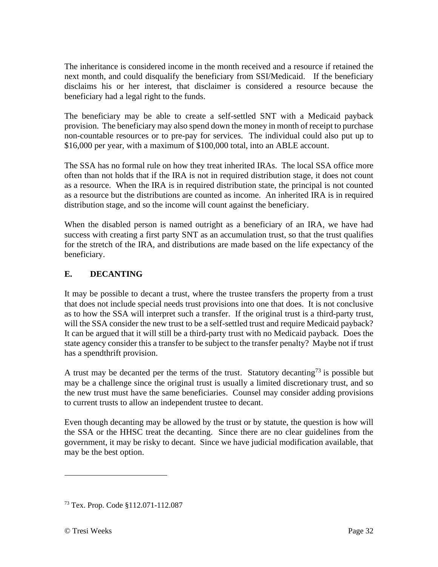The inheritance is considered income in the month received and a resource if retained the next month, and could disqualify the beneficiary from SSI/Medicaid. If the beneficiary disclaims his or her interest, that disclaimer is considered a resource because the beneficiary had a legal right to the funds.

The beneficiary may be able to create a self-settled SNT with a Medicaid payback provision. The beneficiary may also spend down the money in month of receipt to purchase non-countable resources or to pre-pay for services. The individual could also put up to \$16,000 per year, with a maximum of \$100,000 total, into an ABLE account.

The SSA has no formal rule on how they treat inherited IRAs. The local SSA office more often than not holds that if the IRA is not in required distribution stage, it does not count as a resource. When the IRA is in required distribution state, the principal is not counted as a resource but the distributions are counted as income. An inherited IRA is in required distribution stage, and so the income will count against the beneficiary.

When the disabled person is named outright as a beneficiary of an IRA, we have had success with creating a first party SNT as an accumulation trust, so that the trust qualifies for the stretch of the IRA, and distributions are made based on the life expectancy of the beneficiary.

## **E. DECANTING**

It may be possible to decant a trust, where the trustee transfers the property from a trust that does not include special needs trust provisions into one that does. It is not conclusive as to how the SSA will interpret such a transfer. If the original trust is a third-party trust, will the SSA consider the new trust to be a self-settled trust and require Medicaid payback? It can be argued that it will still be a third-party trust with no Medicaid payback. Does the state agency consider this a transfer to be subject to the transfer penalty? Maybe not if trust has a spendthrift provision.

A trust may be decanted per the terms of the trust. Statutory decanting<sup>73</sup> is possible but may be a challenge since the original trust is usually a limited discretionary trust, and so the new trust must have the same beneficiaries. Counsel may consider adding provisions to current trusts to allow an independent trustee to decant.

Even though decanting may be allowed by the trust or by statute, the question is how will the SSA or the HHSC treat the decanting. Since there are no clear guidelines from the government, it may be risky to decant. Since we have judicial modification available, that may be the best option.

<sup>73</sup> Tex. Prop. Code §112.071-112.087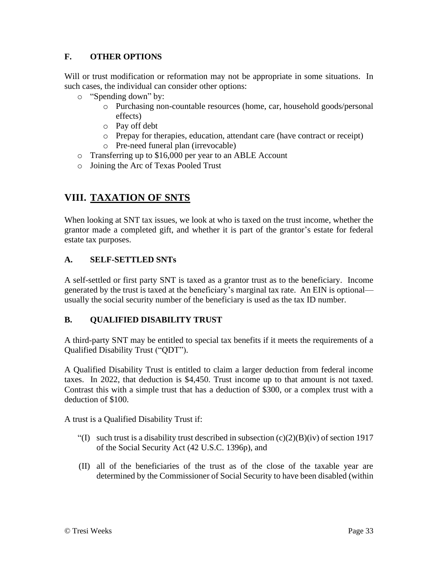## **F. OTHER OPTIONS**

Will or trust modification or reformation may not be appropriate in some situations. In such cases, the individual can consider other options:

- o "Spending down" by:
	- o Purchasing non-countable resources (home, car, household goods/personal effects)
	- o Pay off debt
	- o Prepay for therapies, education, attendant care (have contract or receipt)
	- o Pre-need funeral plan (irrevocable)
- o Transferring up to \$16,000 per year to an ABLE Account
- o Joining the Arc of Texas Pooled Trust

# **VIII. TAXATION OF SNTS**

When looking at SNT tax issues, we look at who is taxed on the trust income, whether the grantor made a completed gift, and whether it is part of the grantor's estate for federal estate tax purposes.

#### **A. SELF-SETTLED SNTs**

A self-settled or first party SNT is taxed as a grantor trust as to the beneficiary. Income generated by the trust is taxed at the beneficiary's marginal tax rate. An EIN is optional usually the social security number of the beneficiary is used as the tax ID number.

#### **B. QUALIFIED DISABILITY TRUST**

A third-party SNT may be entitled to special tax benefits if it meets the requirements of a Qualified Disability Trust ("QDT").

A Qualified Disability Trust is entitled to claim a larger deduction from federal income taxes. In 2022, that deduction is \$4,450. Trust income up to that amount is not taxed. Contrast this with a simple trust that has a deduction of \$300, or a complex trust with a deduction of \$100.

A trust is a Qualified Disability Trust if:

- "(I) such trust is a disability trust described in subsection  $(c)(2)(B)(iv)$  of section 1917 of the Social Security Act (42 U.S.C. 1396p), and
- (II) all of the beneficiaries of the trust as of the close of the taxable year are determined by the Commissioner of Social Security to have been disabled (within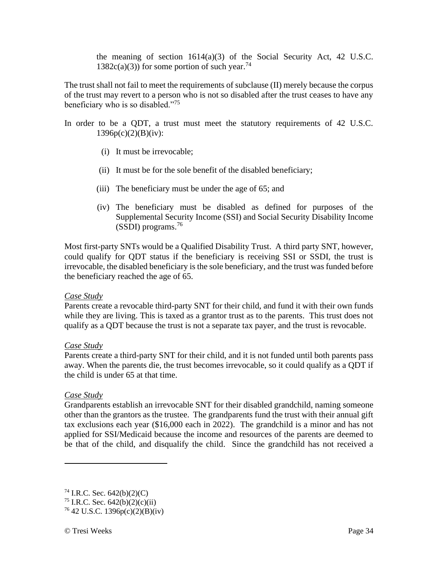the meaning of section 1614(a)(3) of the Social Security Act, 42 U.S.C.  $1382c(a)(3)$  for some portion of such year.<sup>74</sup>

The trust shall not fail to meet the requirements of subclause (II) merely because the corpus of the trust may revert to a person who is not so disabled after the trust ceases to have any beneficiary who is so disabled."<sup>75</sup>

- In order to be a QDT, a trust must meet the statutory requirements of 42 U.S.C.  $1396p(c)(2)(B)(iv):$ 
	- (i) It must be irrevocable;
	- (ii) It must be for the sole benefit of the disabled beneficiary;
	- (iii) The beneficiary must be under the age of 65; and
	- (iv) The beneficiary must be disabled as defined for purposes of the Supplemental Security Income (SSI) and Social Security Disability Income (SSDI) programs.<sup>76</sup>

Most first-party SNTs would be a Qualified Disability Trust. A third party SNT, however, could qualify for QDT status if the beneficiary is receiving SSI or SSDI, the trust is irrevocable, the disabled beneficiary is the sole beneficiary, and the trust was funded before the beneficiary reached the age of 65.

#### *Case Study*

Parents create a revocable third-party SNT for their child, and fund it with their own funds while they are living. This is taxed as a grantor trust as to the parents. This trust does not qualify as a QDT because the trust is not a separate tax payer, and the trust is revocable.

#### *Case Study*

Parents create a third-party SNT for their child, and it is not funded until both parents pass away. When the parents die, the trust becomes irrevocable, so it could qualify as a QDT if the child is under 65 at that time.

#### *Case Study*

Grandparents establish an irrevocable SNT for their disabled grandchild, naming someone other than the grantors as the trustee. The grandparents fund the trust with their annual gift tax exclusions each year (\$16,000 each in 2022). The grandchild is a minor and has not applied for SSI/Medicaid because the income and resources of the parents are deemed to be that of the child, and disqualify the child. Since the grandchild has not received a

 $74$  I.R.C. Sec. 642(b)(2)(C)

<sup>&</sup>lt;sup>75</sup> I.R.C. Sec.  $642(b)(2)(c)(ii)$ 

 $^{76}$  42 U.S.C. 1396p(c)(2)(B)(iv)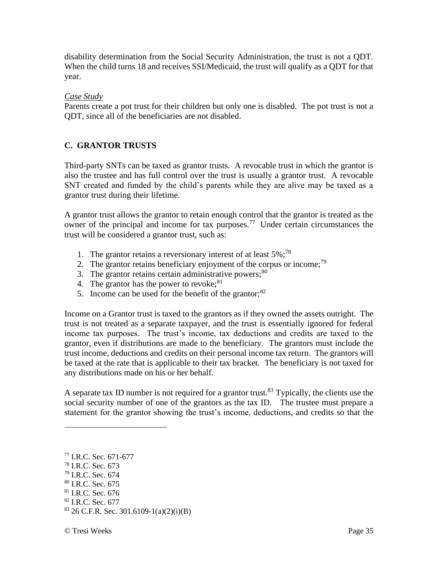disability determination from the Social Security Administration, the trust is not a QDT. When the child turns 18 and receives SSI/Medicaid, the trust will qualify as a QDT for that year.

#### *Case Study*

Parents create a pot trust for their children but only one is disabled. The pot trust is not a QDT, since all of the beneficiaries are not disabled.

#### **C. GRANTOR TRUSTS**

Third-party SNTs can be taxed as grantor trusts. A revocable trust in which the grantor is also the trustee and has full control over the trust is usually a grantor trust. A revocable SNT created and funded by the child's parents while they are alive may be taxed as a grantor trust during their lifetime.

A grantor trust allows the grantor to retain enough control that the grantor is treated as the owner of the principal and income for tax purposes.<sup>77</sup> Under certain circumstances the trust will be considered a grantor trust, such as:

- 1. The grantor retains a reversionary interest of at least  $5\%$ ;<sup>78</sup>
- 2. The grantor retains beneficiary enjoyment of the corpus or income;  $^{79}$
- 3. The grantor retains certain administrative powers; $80$
- 4. The grantor has the power to revoke;  $81$
- 5. Income can be used for the benefit of the grantor; $82$

Income on a Grantor trust is taxed to the grantors as if they owned the assets outright. The trust is not treated as a separate taxpayer, and the trust is essentially ignored for federal income tax purposes. The trust's income, tax deductions and credits are taxed to the grantor, even if distributions are made to the beneficiary. The grantors must include the trust income, deductions and credits on their personal income tax return. The grantors will be taxed at the rate that is applicable to their tax bracket. The beneficiary is not taxed for any distributions made on his or her behalf.

A separate tax ID number is not required for a grantor trust.<sup>83</sup> Typically, the clients use the social security number of one of the grantors as the tax ID. The trustee must prepare a statement for the grantor showing the trust's income, deductions, and credits so that the

<sup>77</sup> I.R.C. Sec. 671-677 <sup>78</sup> I.R.C. Sec. 673

 $^{79}$  I.R.C. Sec. 674

<sup>80</sup> I.R.C. Sec. 675

<sup>81</sup> I.R.C. Sec. 676

 $82$  I.R.C. Sec. 677

<sup>83</sup> 26 C.F.R. Sec. 301.6109-1(a)(2)(i)(B)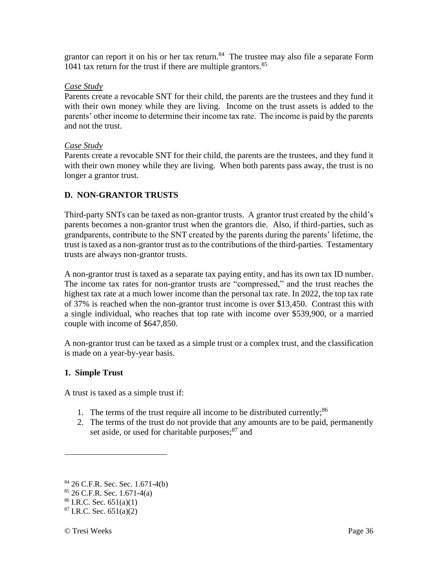grantor can report it on his or her tax return. $84$  The trustee may also file a separate Form 1041 tax return for the trust if there are multiple grantors. $85$ 

#### *Case Study*

Parents create a revocable SNT for their child, the parents are the trustees and they fund it with their own money while they are living. Income on the trust assets is added to the parents' other income to determine their income tax rate. The income is paid by the parents and not the trust.

#### *Case Study*

Parents create a revocable SNT for their child, the parents are the trustees, and they fund it with their own money while they are living. When both parents pass away, the trust is no longer a grantor trust.

#### **D. NON-GRANTOR TRUSTS**

Third-party SNTs can be taxed as non-grantor trusts. A grantor trust created by the child's parents becomes a non-grantor trust when the grantors die. Also, if third-parties, such as grandparents, contribute to the SNT created by the parents during the parents' lifetime, the trust is taxed as a non-grantor trust as to the contributions of the third-parties. Testamentary trusts are always non-grantor trusts.

A non-grantor trust is taxed as a separate tax paying entity, and has its own tax ID number. The income tax rates for non-grantor trusts are "compressed," and the trust reaches the highest tax rate at a much lower income than the personal tax rate. In 2022, the top tax rate of 37% is reached when the non-grantor trust income is over \$13,450. Contrast this with a single individual, who reaches that top rate with income over \$539,900, or a married couple with income of \$647,850.

A non-grantor trust can be taxed as a simple trust or a complex trust, and the classification is made on a year-by-year basis.

#### **1. Simple Trust**

A trust is taxed as a simple trust if:

- 1. The terms of the trust require all income to be distributed currently;  $86$
- 2. The terms of the trust do not provide that any amounts are to be paid, permanently set aside, or used for charitable purposes;<sup>87</sup> and

<sup>84</sup> 26 C.F.R. Sec. Sec. 1.671-4(b)

 $85$  26 C.F.R. Sec. 1.671-4(a)

 $86$  I.R.C. Sec. 651(a)(1)

 $87$  I.R.C. Sec. 651(a)(2)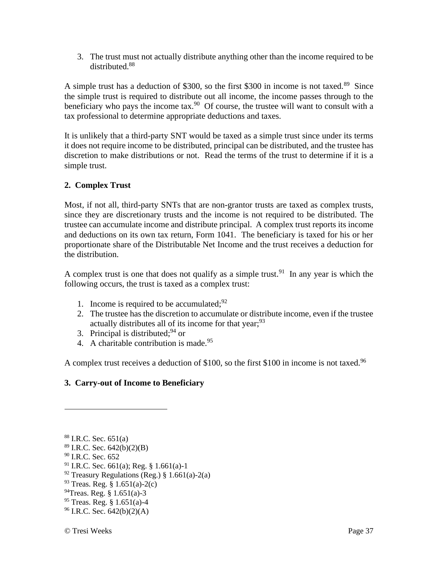3. The trust must not actually distribute anything other than the income required to be distributed.<sup>88</sup>

A simple trust has a deduction of \$300, so the first \$300 in income is not taxed.<sup>89</sup> Since the simple trust is required to distribute out all income, the income passes through to the beneficiary who pays the income tax.<sup>90</sup> Of course, the trustee will want to consult with a tax professional to determine appropriate deductions and taxes.

It is unlikely that a third-party SNT would be taxed as a simple trust since under its terms it does not require income to be distributed, principal can be distributed, and the trustee has discretion to make distributions or not. Read the terms of the trust to determine if it is a simple trust.

### **2. Complex Trust**

Most, if not all, third-party SNTs that are non-grantor trusts are taxed as complex trusts, since they are discretionary trusts and the income is not required to be distributed. The trustee can accumulate income and distribute principal. A complex trust reports its income and deductions on its own tax return, Form 1041. The beneficiary is taxed for his or her proportionate share of the Distributable Net Income and the trust receives a deduction for the distribution.

A complex trust is one that does not qualify as a simple trust.<sup>91</sup> In any year is which the following occurs, the trust is taxed as a complex trust:

- 1. Income is required to be accumulated; $92$
- 2. The trustee has the discretion to accumulate or distribute income, even if the trustee actually distributes all of its income for that year;<sup>93</sup>
- 3. Principal is distributed;  $94$  or
- 4. A charitable contribution is made.<sup>95</sup>

A complex trust receives a deduction of \$100, so the first \$100 in income is not taxed.<sup>96</sup>

## **3. Carry-out of Income to Beneficiary**

 $88$  I.R.C. Sec. 651(a)

 $89$  I.R.C. Sec. 642(b)(2)(B)

<sup>&</sup>lt;sup>90</sup> I.R.C. Sec. 652

 $91$  I.R.C. Sec. 661(a); Reg. § 1.661(a)-1

 $92$  Treasury Regulations (Reg.) § 1.661(a)-2(a)

<sup>93</sup> Treas. Reg. § 1.651(a)-2(c)

 $^{94}$ Treas. Reg. § 1.651(a)-3

 $95$  Treas. Reg. § 1.651(a)-4

 $96$  I.R.C. Sec. 642(b)(2)(A)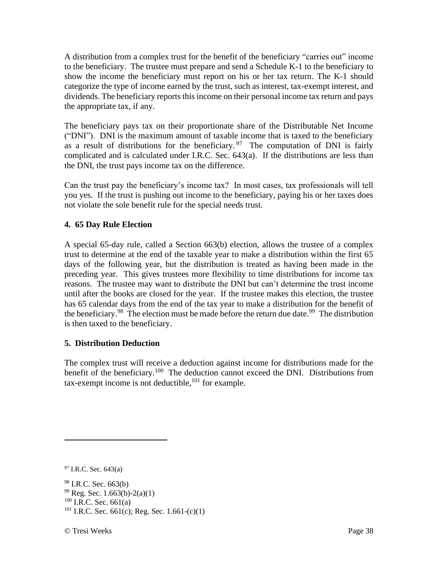A distribution from a complex trust for the benefit of the beneficiary "carries out" income to the beneficiary. The trustee must prepare and send a Schedule K-1 to the beneficiary to show the income the beneficiary must report on his or her tax return. The K-1 should categorize the type of income earned by the trust, such as interest, tax-exempt interest, and dividends. The beneficiary reports this income on their personal income tax return and pays the appropriate tax, if any.

The beneficiary pays tax on their proportionate share of the Distributable Net Income ("DNI"). DNI is the maximum amount of taxable income that is taxed to the beneficiary as a result of distributions for the beneficiary. <sup>97</sup> The computation of DNI is fairly complicated and is calculated under I.R.C. Sec. 643(a). If the distributions are less than the DNI, the trust pays income tax on the difference.

Can the trust pay the beneficiary's income tax? In most cases, tax professionals will tell you yes. If the trust is pushing out income to the beneficiary, paying his or her taxes does not violate the sole benefit rule for the special needs trust.

### **4. 65 Day Rule Election**

A special 65-day rule, called a Section 663(b) election, allows the trustee of a complex trust to determine at the end of the taxable year to make a distribution within the first 65 days of the following year, but the distribution is treated as having been made in the preceding year. This gives trustees more flexibility to time distributions for income tax reasons. The trustee may want to distribute the DNI but can't determine the trust income until after the books are closed for the year. If the trustee makes this election, the trustee has 65 calendar days from the end of the tax year to make a distribution for the benefit of the beneficiary.<sup>98</sup> The election must be made before the return due date.<sup>99</sup> The distribution is then taxed to the beneficiary.

#### **5. Distribution Deduction**

The complex trust will receive a deduction against income for distributions made for the benefit of the beneficiary.<sup>100</sup> The deduction cannot exceed the DNI. Distributions from  $tax$ -exempt income is not deductible,  $^{101}$  for example.

 $97$  I.R.C. Sec. 643(a)

<sup>98</sup> I.R.C. Sec. 663(b)  $99$  Reg. Sec. 1.663(b)-2(a)(1)  $100$  I.R.C. Sec. 661(a) <sup>101</sup> I.R.C. Sec. 661(c); Reg. Sec. 1.661-(c)(1)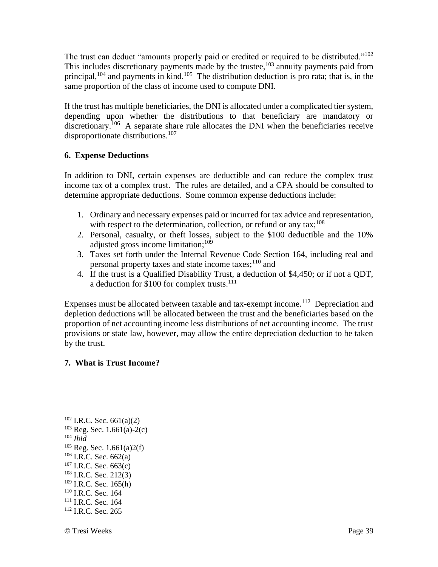The trust can deduct "amounts properly paid or credited or required to be distributed."<sup>102</sup> This includes discretionary payments made by the trustee,  $103$  annuity payments paid from principal,  $104$  and payments in kind.  $105$  The distribution deduction is pro rata; that is, in the same proportion of the class of income used to compute DNI.

If the trust has multiple beneficiaries, the DNI is allocated under a complicated tier system, depending upon whether the distributions to that beneficiary are mandatory or discretionary.<sup>106</sup> A separate share rule allocates the DNI when the beneficiaries receive disproportionate distributions.<sup>107</sup>

#### **6. Expense Deductions**

In addition to DNI, certain expenses are deductible and can reduce the complex trust income tax of a complex trust. The rules are detailed, and a CPA should be consulted to determine appropriate deductions. Some common expense deductions include:

- 1. Ordinary and necessary expenses paid or incurred for tax advice and representation, with respect to the determination, collection, or refund or any tax:<sup>108</sup>
- 2. Personal, casualty, or theft losses, subject to the \$100 deductible and the 10% adjusted gross income limitation;<sup>109</sup>
- 3. Taxes set forth under the Internal Revenue Code Section 164, including real and personal property taxes and state income taxes;  $110$  and
- 4. If the trust is a Qualified Disability Trust, a deduction of \$4,450; or if not a QDT, a deduction for \$100 for complex trusts.<sup>111</sup>

Expenses must be allocated between taxable and tax-exempt income.<sup>112</sup> Depreciation and depletion deductions will be allocated between the trust and the beneficiaries based on the proportion of net accounting income less distributions of net accounting income. The trust provisions or state law, however, may allow the entire depreciation deduction to be taken by the trust.

#### **7. What is Trust Income?**

 I.R.C. Sec. 661(a)(2) Reg. Sec. 1.661(a)-2(c) <sup>104</sup> *Ibid* Reg. Sec. 1.661(a)2(f) I.R.C. Sec. 662(a) I.R.C. Sec. 663(c) I.R.C. Sec. 212(3) I.R.C. Sec. 165(h) <sup>110</sup> I.R.C. Sec. 164 <sup>111</sup> I.R.C. Sec. 164 <sup>112</sup> I.R.C. Sec. 265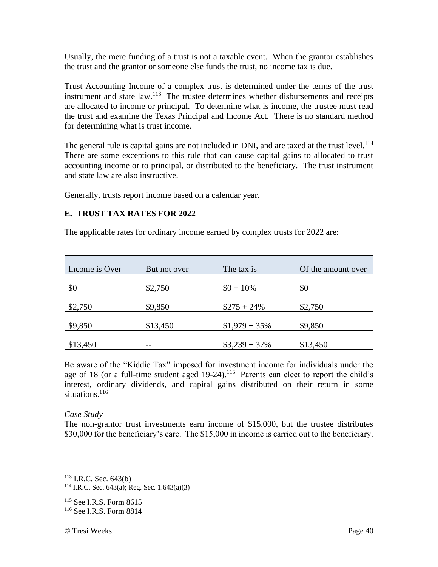Usually, the mere funding of a trust is not a taxable event. When the grantor establishes the trust and the grantor or someone else funds the trust, no income tax is due.

Trust Accounting Income of a complex trust is determined under the terms of the trust instrument and state  $law$ .<sup>113</sup> The trustee determines whether disbursements and receipts are allocated to income or principal. To determine what is income, the trustee must read the trust and examine the Texas Principal and Income Act. There is no standard method for determining what is trust income.

The general rule is capital gains are not included in DNI, and are taxed at the trust level.<sup>114</sup> There are some exceptions to this rule that can cause capital gains to allocated to trust accounting income or to principal, or distributed to the beneficiary. The trust instrument and state law are also instructive.

Generally, trusts report income based on a calendar year.

#### **E. TRUST TAX RATES FOR 2022**

The applicable rates for ordinary income earned by complex trusts for 2022 are:

| Income is Over | But not over | The tax is      | Of the amount over |
|----------------|--------------|-----------------|--------------------|
| \$0            | \$2,750      | $$0 + 10\%$     | \$0                |
| \$2,750        | \$9,850      | $$275 + 24\%$   | \$2,750            |
| \$9,850        | \$13,450     | $$1,979 + 35\%$ | \$9,850            |
| \$13,450       | $- -$        | $$3,239 + 37\%$ | \$13,450           |

Be aware of the "Kiddie Tax" imposed for investment income for individuals under the age of 18 (or a full-time student aged  $19-24$ ).<sup>115</sup> Parents can elect to report the child's interest, ordinary dividends, and capital gains distributed on their return in some situations.<sup>116</sup>

#### *Case Study*

The non-grantor trust investments earn income of \$15,000, but the trustee distributes \$30,000 for the beneficiary's care. The \$15,000 in income is carried out to the beneficiary.

 $113$  I.R.C. Sec. 643(b)

<sup>115</sup> See I.R.S. Form 8615 <sup>116</sup> See I.R.S. Form 8814

<sup>&</sup>lt;sup>114</sup> I.R.C. Sec. 643(a); Reg. Sec. 1.643(a)(3)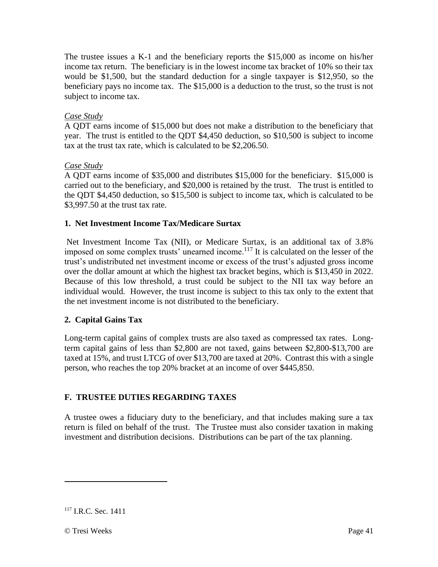The trustee issues a K-1 and the beneficiary reports the \$15,000 as income on his/her income tax return. The beneficiary is in the lowest income tax bracket of 10% so their tax would be \$1,500, but the standard deduction for a single taxpayer is \$12,950, so the beneficiary pays no income tax. The \$15,000 is a deduction to the trust, so the trust is not subject to income tax.

#### *Case Study*

A QDT earns income of \$15,000 but does not make a distribution to the beneficiary that year. The trust is entitled to the QDT \$4,450 deduction, so \$10,500 is subject to income tax at the trust tax rate, which is calculated to be \$2,206.50.

### *Case Study*

A QDT earns income of \$35,000 and distributes \$15,000 for the beneficiary. \$15,000 is carried out to the beneficiary, and \$20,000 is retained by the trust. The trust is entitled to the QDT \$4,450 deduction, so \$15,500 is subject to income tax, which is calculated to be \$3,997.50 at the trust tax rate.

### **1. Net Investment Income Tax/Medicare Surtax**

Net Investment Income Tax (NII), or Medicare Surtax, is an additional tax of 3.8% imposed on some complex trusts' unearned income.<sup>117</sup> It is calculated on the lesser of the trust's undistributed net investment income or excess of the trust's adjusted gross income over the dollar amount at which the highest tax bracket begins, which is \$13,450 in 2022. Because of this low threshold, a trust could be subject to the NII tax way before an individual would. However, the trust income is subject to this tax only to the extent that the net investment income is not distributed to the beneficiary.

## **2. Capital Gains Tax**

Long-term capital gains of complex trusts are also taxed as compressed tax rates. Longterm capital gains of less than \$2,800 are not taxed, gains between \$2,800-\$13,700 are taxed at 15%, and trust LTCG of over \$13,700 are taxed at 20%. Contrast this with a single person, who reaches the top 20% bracket at an income of over \$445,850.

#### **F. TRUSTEE DUTIES REGARDING TAXES**

A trustee owes a fiduciary duty to the beneficiary, and that includes making sure a tax return is filed on behalf of the trust. The Trustee must also consider taxation in making investment and distribution decisions. Distributions can be part of the tax planning.

© Tresi Weeks Page 41

<sup>&</sup>lt;sup>117</sup> I.R.C. Sec. 1411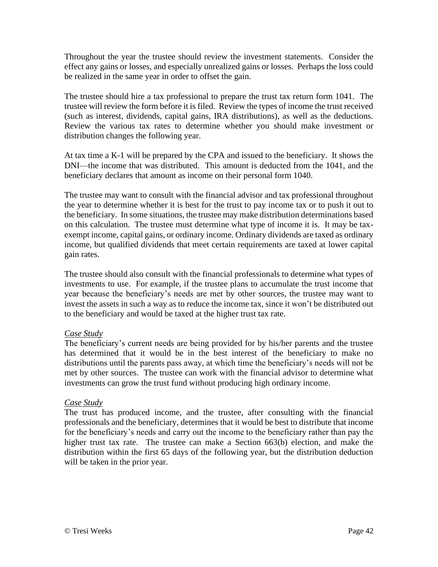Throughout the year the trustee should review the investment statements. Consider the effect any gains or losses, and especially unrealized gains or losses. Perhaps the loss could be realized in the same year in order to offset the gain.

The trustee should hire a tax professional to prepare the trust tax return form 1041. The trustee will review the form before it is filed. Review the types of income the trust received (such as interest, dividends, capital gains, IRA distributions), as well as the deductions. Review the various tax rates to determine whether you should make investment or distribution changes the following year.

At tax time a K-1 will be prepared by the CPA and issued to the beneficiary. It shows the DNI—the income that was distributed. This amount is deducted from the 1041, and the beneficiary declares that amount as income on their personal form 1040.

The trustee may want to consult with the financial advisor and tax professional throughout the year to determine whether it is best for the trust to pay income tax or to push it out to the beneficiary. In some situations, the trustee may make distribution determinations based on this calculation. The trustee must determine what type of income it is. It may be taxexempt income, capital gains, or ordinary income. Ordinary dividends are taxed as ordinary income, but qualified dividends that meet certain requirements are taxed at lower capital gain rates.

The trustee should also consult with the financial professionals to determine what types of investments to use. For example, if the trustee plans to accumulate the trust income that year because the beneficiary's needs are met by other sources, the trustee may want to invest the assets in such a way as to reduce the income tax, since it won't be distributed out to the beneficiary and would be taxed at the higher trust tax rate.

#### *Case Study*

The beneficiary's current needs are being provided for by his/her parents and the trustee has determined that it would be in the best interest of the beneficiary to make no distributions until the parents pass away, at which time the beneficiary's needs will not be met by other sources. The trustee can work with the financial advisor to determine what investments can grow the trust fund without producing high ordinary income.

#### *Case Study*

The trust has produced income, and the trustee, after consulting with the financial professionals and the beneficiary, determines that it would be best to distribute that income for the beneficiary's needs and carry out the income to the beneficiary rather than pay the higher trust tax rate. The trustee can make a Section 663(b) election, and make the distribution within the first 65 days of the following year, but the distribution deduction will be taken in the prior year.